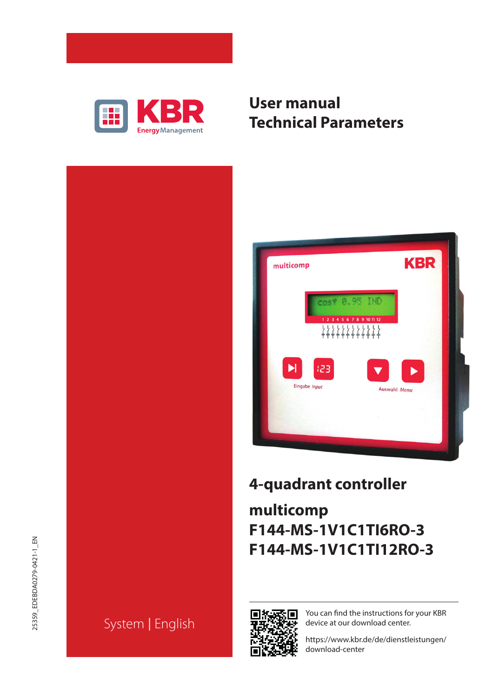

# **User manual Technical Parameters**





# **4-quadrant controller**

# **multicomp F144-MS-1V1C1TI6RO-3 F144-MS-1V1C1TI12RO-3**



You can find the instructions for your KBR device at our download center.

https://www.kbr.de/de/dienstleistungen/ download-center

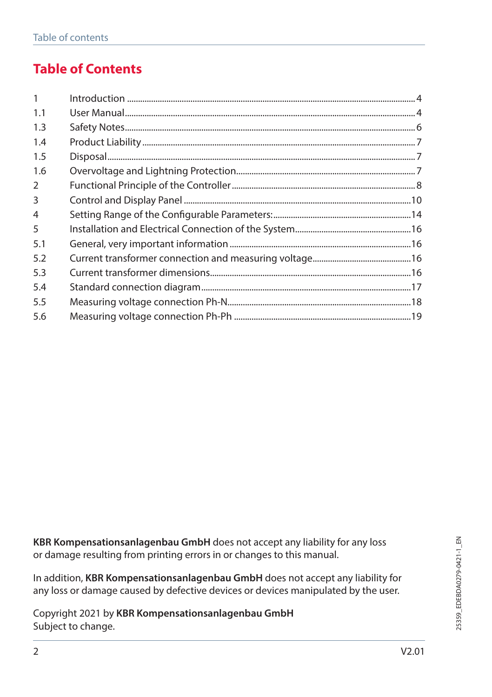# **Table of Contents**

| $\mathbf{1}$   |  |
|----------------|--|
| 1.1            |  |
| 1.3            |  |
| 1.4            |  |
| 1.5            |  |
| 1.6            |  |
| 2              |  |
| 3              |  |
| $\overline{4}$ |  |
| 5              |  |
| 5.1            |  |
| 5.2            |  |
| 5.3            |  |
| 5.4            |  |
| 5.5            |  |
| 5.6            |  |

**KBR Kompensationsanlagenbau GmbH** does not accept any liability for any loss or damage resulting from printing errors in or changes to this manual.

In addition, **KBR Kompensationsanlagenbau GmbH** does not accept any liability for any loss or damage caused by defective devices or devices manipulated by the user.

Copyright 2021 by **KBR Kompensationsanlagenbau GmbH** Subject to change.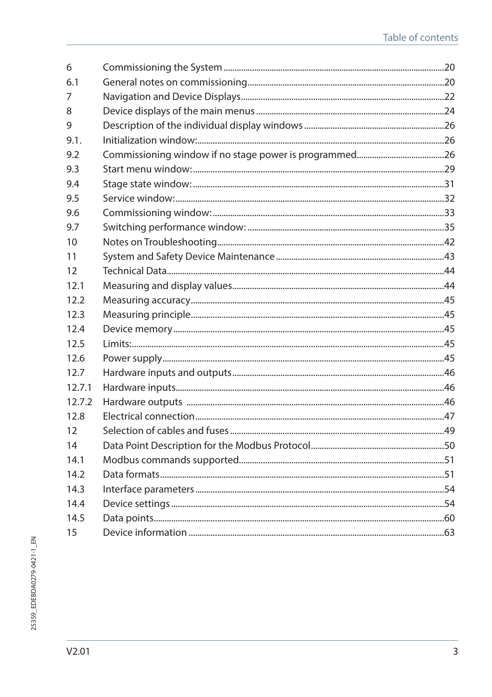| 6      |  |
|--------|--|
| 6.1    |  |
| 7      |  |
| 8      |  |
| 9      |  |
| 9.1.   |  |
| 9.2    |  |
| 9.3    |  |
| 9.4    |  |
| 9.5    |  |
| 9.6    |  |
| 9.7    |  |
| 10     |  |
| 11     |  |
| 12     |  |
| 12.1   |  |
| 12.2   |  |
| 12.3   |  |
| 12.4   |  |
| 12.5   |  |
| 12.6   |  |
| 12.7   |  |
| 12.7.1 |  |
| 12.7.2 |  |
| 12.8   |  |
| 12     |  |
| 14     |  |
| 14.1   |  |
| 142    |  |
| 14.3   |  |
| 14.4   |  |
| 14.5   |  |
| 15     |  |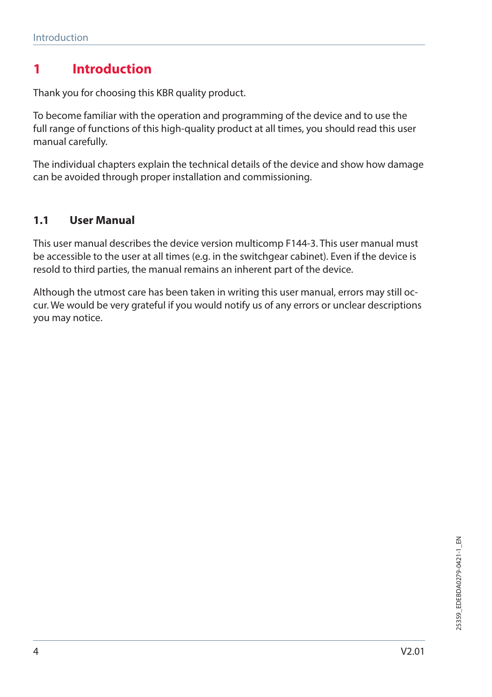# **1 Introduction**

Thank you for choosing this KBR quality product.

To become familiar with the operation and programming of the device and to use the full range of functions of this high-quality product at all times, you should read this user manual carefully.

The individual chapters explain the technical details of the device and show how damage can be avoided through proper installation and commissioning.

#### **1.1 User Manual**

This user manual describes the device version multicomp F144-3. This user manual must be accessible to the user at all times (e.g. in the switchgear cabinet). Even if the device is resold to third parties, the manual remains an inherent part of the device.

Although the utmost care has been taken in writing this user manual, errors may still occur. We would be very grateful if you would notify us of any errors or unclear descriptions you may notice.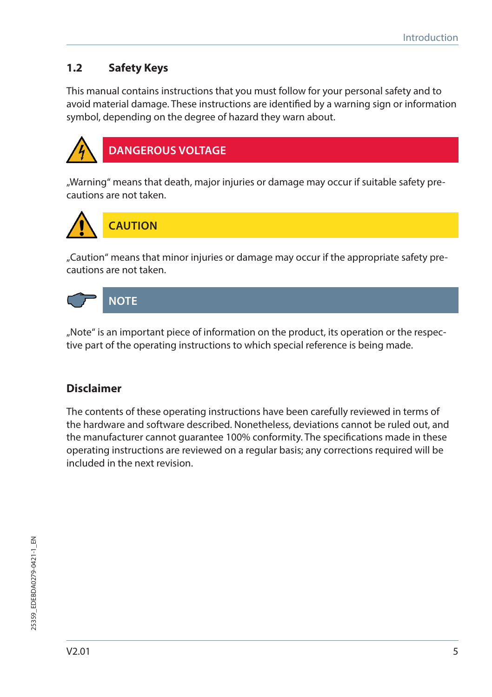## **1.2 Safety Keys**

This manual contains instructions that you must follow for your personal safety and to avoid material damage. These instructions are identified by a warning sign or information symbol, depending on the degree of hazard they warn about.



"Warning" means that death, major injuries or damage may occur if suitable safety precautions are not taken.



"Caution" means that minor injuries or damage may occur if the appropriate safety precautions are not taken.



"Note" is an important piece of information on the product, its operation or the respective part of the operating instructions to which special reference is being made.

### **Disclaimer**

The contents of these operating instructions have been carefully reviewed in terms of the hardware and software described. Nonetheless, deviations cannot be ruled out, and the manufacturer cannot guarantee 100% conformity. The specifications made in these operating instructions are reviewed on a regular basis; any corrections required will be included in the next revision.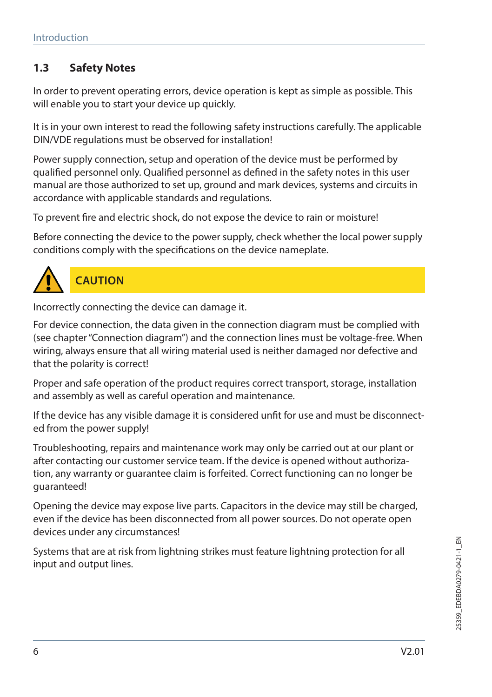## **1.3 Safety Notes**

In order to prevent operating errors, device operation is kept as simple as possible. This will enable you to start your device up quickly.

It is in your own interest to read the following safety instructions carefully. The applicable DIN/VDE regulations must be observed for installation!

Power supply connection, setup and operation of the device must be performed by qualified personnel only. Qualified personnel as defined in the safety notes in this user manual are those authorized to set up, ground and mark devices, systems and circuits in accordance with applicable standards and regulations.

To prevent fire and electric shock, do not expose the device to rain or moisture!

Before connecting the device to the power supply, check whether the local power supply conditions comply with the specifications on the device nameplate.



# **CAUTION**

Incorrectly connecting the device can damage it.

For device connection, the data given in the connection diagram must be complied with (see chapter "Connection diagram") and the connection lines must be voltage-free. When wiring, always ensure that all wiring material used is neither damaged nor defective and that the polarity is correct!

Proper and safe operation of the product requires correct transport, storage, installation and assembly as well as careful operation and maintenance.

If the device has any visible damage it is considered unfit for use and must be disconnected from the power supply!

Troubleshooting, repairs and maintenance work may only be carried out at our plant or after contacting our customer service team. If the device is opened without authorization, any warranty or guarantee claim is forfeited. Correct functioning can no longer be guaranteed!

Opening the device may expose live parts. Capacitors in the device may still be charged, even if the device has been disconnected from all power sources. Do not operate open devices under any circumstances!

Systems that are at risk from lightning strikes must feature lightning protection for all input and output lines.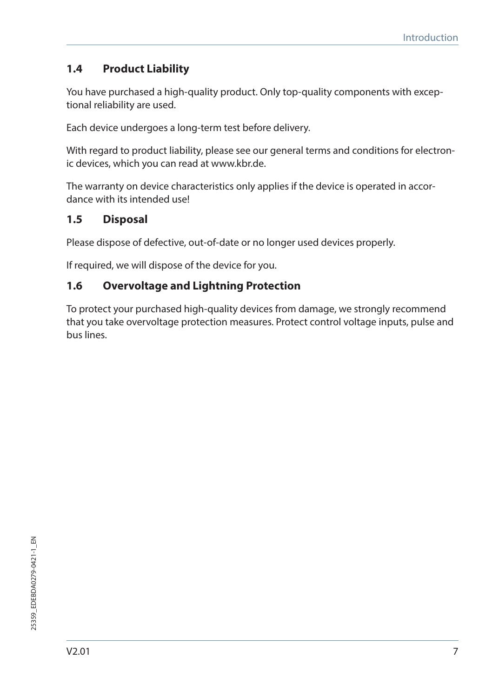## **1.4 Product Liability**

You have purchased a high-quality product. Only top-quality components with exceptional reliability are used.

Each device undergoes a long-term test before delivery.

With regard to product liability, please see our general terms and conditions for electronic devices, which you can read at www.kbr.de.

The warranty on device characteristics only applies if the device is operated in accordance with its intended use!

#### **1.5 Disposal**

Please dispose of defective, out-of-date or no longer used devices properly.

If required, we will dispose of the device for you.

#### **1.6 Overvoltage and Lightning Protection**

To protect your purchased high-quality devices from damage, we strongly recommend that you take overvoltage protection measures. Protect control voltage inputs, pulse and bus lines.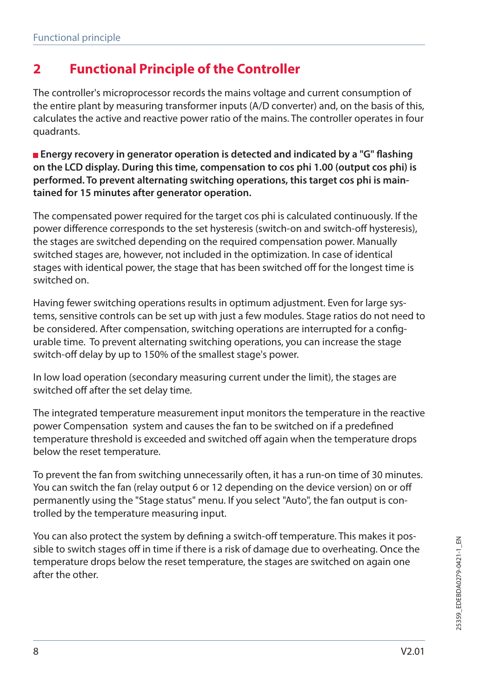# **2 Functional Principle of the Controller**

The controller's microprocessor records the mains voltage and current consumption of the entire plant by measuring transformer inputs (A/D converter) and, on the basis of this, calculates the active and reactive power ratio of the mains. The controller operates in four quadrants.

**Energy recovery in generator operation is detected and indicated by a "G" flashing on the LCD display. During this time, compensation to cos phi 1.00 (output cos phi) is performed. To prevent alternating switching operations, this target cos phi is maintained for 15 minutes after generator operation.**

The compensated power required for the target cos phi is calculated continuously. If the power difference corresponds to the set hysteresis (switch-on and switch-off hysteresis), the stages are switched depending on the required compensation power. Manually switched stages are, however, not included in the optimization. In case of identical stages with identical power, the stage that has been switched off for the longest time is switched on.

Having fewer switching operations results in optimum adjustment. Even for large systems, sensitive controls can be set up with just a few modules. Stage ratios do not need to be considered. After compensation, switching operations are interrupted for a configurable time. To prevent alternating switching operations, you can increase the stage switch-off delay by up to 150% of the smallest stage's power.

In low load operation (secondary measuring current under the limit), the stages are switched off after the set delay time.

The integrated temperature measurement input monitors the temperature in the reactive power Compensation system and causes the fan to be switched on if a predefined temperature threshold is exceeded and switched off again when the temperature drops below the reset temperature.

To prevent the fan from switching unnecessarily often, it has a run-on time of 30 minutes. You can switch the fan (relay output 6 or 12 depending on the device version) on or off permanently using the "Stage status" menu. If you select "Auto", the fan output is controlled by the temperature measuring input.

You can also protect the system by defining a switch-off temperature. This makes it possible to switch stages off in time if there is a risk of damage due to overheating. Once the temperature drops below the reset temperature, the stages are switched on again one after the other.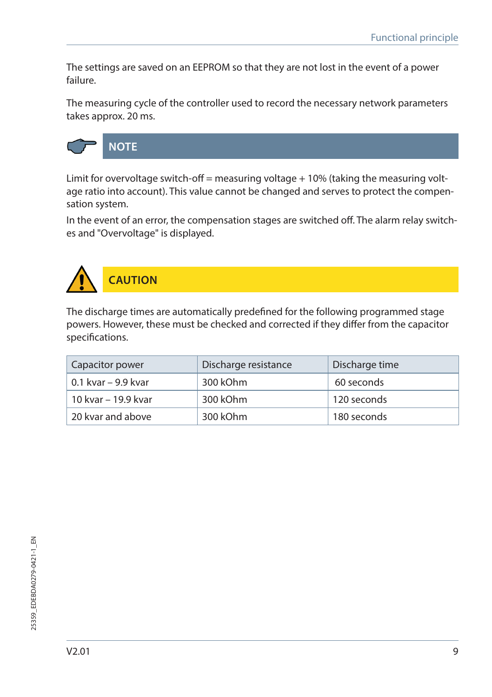The settings are saved on an EEPROM so that they are not lost in the event of a power failure.

The measuring cycle of the controller used to record the necessary network parameters takes approx. 20 ms.



Limit for overvoltage switch-off = measuring voltage  $+10%$  (taking the measuring voltage ratio into account). This value cannot be changed and serves to protect the compensation system.

In the event of an error, the compensation stages are switched off. The alarm relay switches and "Overvoltage" is displayed.



The discharge times are automatically predefined for the following programmed stage powers. However, these must be checked and corrected if they differ from the capacitor specifications.

| Capacitor power     | Discharge resistance | Discharge time |
|---------------------|----------------------|----------------|
| 0.1 kvar – 9.9 kvar | 300 kOhm             | 60 seconds     |
| 10 kvar – 19.9 kvar | 300 kOhm             | 120 seconds    |
| 20 kvar and above   | 300 kOhm             | 180 seconds    |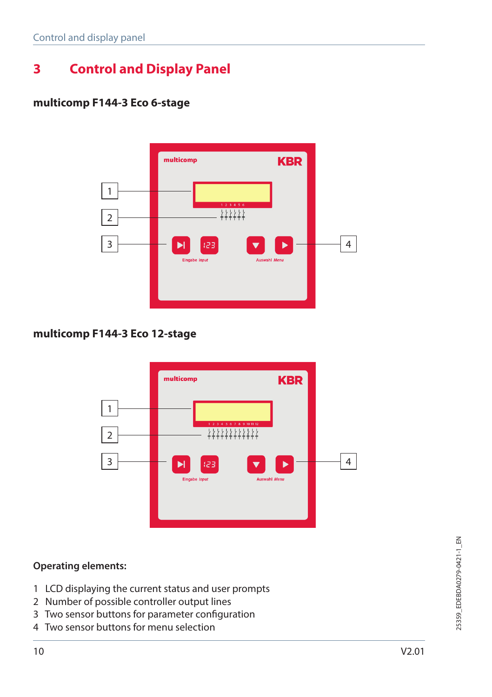# **3 Control and Display Panel**

#### **multicomp F144-3 Eco 6-stage**



#### **multicomp F144-3 Eco 12-stage**



#### **Operating elements:**

- 1 LCD displaying the current status and user prompts
- 2 Number of possible controller output lines
- 3 Two sensor buttons for parameter configuration
- 4 Two sensor buttons for menu selection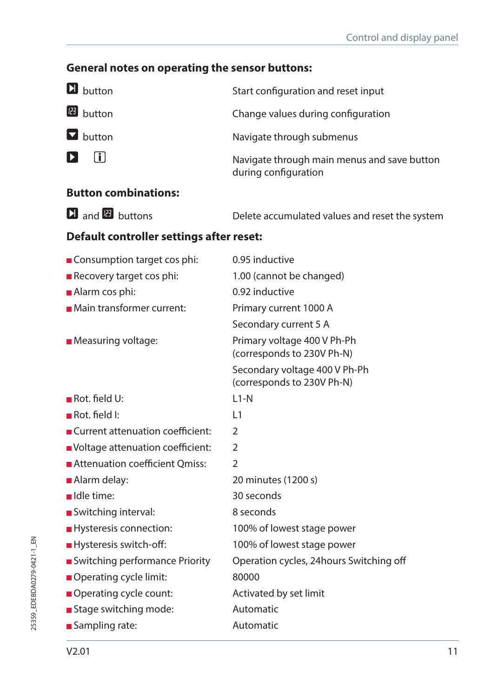# **General notes on operating the sensor buttons:**

| <b>D</b> button                          | Start configuration and reset input                                 |  |
|------------------------------------------|---------------------------------------------------------------------|--|
| <b>B</b> button                          | Change values during configuration                                  |  |
| $\blacksquare$ button                    | Navigate through submenus                                           |  |
| $\Box$<br>D.                             | Navigate through main menus and save button<br>during configuration |  |
| <b>Button combinations:</b>              |                                                                     |  |
| $\Box$ and $\Box$ buttons                | Delete accumulated values and reset the system                      |  |
| Default controller settings after reset: |                                                                     |  |
| Consumption target cos phi:              | 0.95 inductive                                                      |  |
| Recovery target cos phi:                 | 1.00 (cannot be changed)                                            |  |
| Alarm cos phi:                           | 0.92 inductive                                                      |  |
| Main transformer current:                | Primary current 1000 A                                              |  |
|                                          | Secondary current 5 A                                               |  |
| Measuring voltage:                       | Primary voltage 400 V Ph-Ph<br>(corresponds to 230V Ph-N)           |  |
|                                          | Secondary voltage 400 V Ph-Ph<br>(corresponds to 230V Ph-N)         |  |
| $\blacksquare$ Rot. field U:             | $L1-N$                                                              |  |
| $\blacksquare$ Rot. field I:             | L1                                                                  |  |
| Current attenuation coefficient:         | $\overline{2}$                                                      |  |
| Voltage attenuation coefficient:         | $\overline{2}$                                                      |  |
| Attenuation coefficient Omiss:           | 2                                                                   |  |
| ■ Alarm delay:                           | 20 minutes (1200 s)                                                 |  |
| Idle time:                               | 30 seconds                                                          |  |
| Switching interval:                      | 8 seconds                                                           |  |
| Hysteresis connection:                   | 100% of lowest stage power                                          |  |
| Hysteresis switch-off:                   | 100% of lowest stage power                                          |  |
| Switching performance Priority           | Operation cycles, 24hours Switching off                             |  |
| Operating cycle limit:                   | 80000                                                               |  |
| Operating cycle count:                   | Activated by set limit                                              |  |
| Stage switching mode:                    | Automatic                                                           |  |
| Sampling rate:                           | Automatic                                                           |  |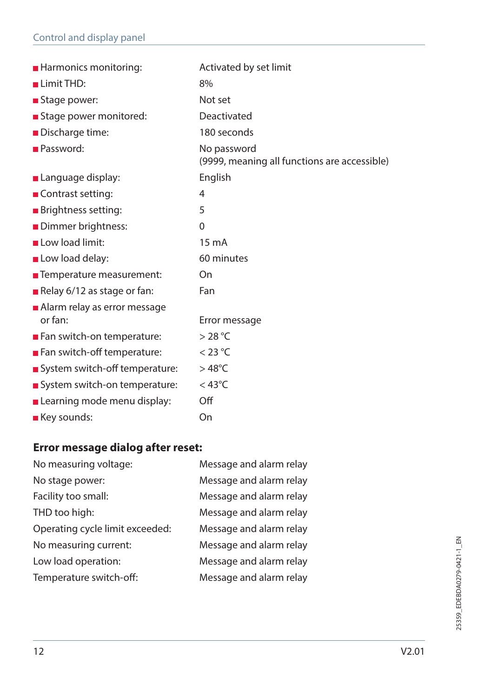| <b>Harmonics monitoring:</b>            | Activated by set limit                                      |
|-----------------------------------------|-------------------------------------------------------------|
| Limit THD:                              | 8%                                                          |
| Stage power:                            | Not set                                                     |
| Stage power monitored:                  | Deactivated                                                 |
| Discharge time:                         | 180 seconds                                                 |
| <b>Password:</b>                        | No password<br>(9999, meaning all functions are accessible) |
| <b>Language display:</b>                | English                                                     |
| Contrast setting:                       | 4                                                           |
| <b>Brightness setting:</b>              | 5                                                           |
| Dimmer brightness:                      | 0                                                           |
| Low load limit:                         | $15 \text{ mA}$                                             |
| Low load delay:                         | 60 minutes                                                  |
| ■ Temperature measurement:              | On                                                          |
| Relay 6/12 as stage or fan:             | Fan                                                         |
| Alarm relay as error message<br>or fan: | Error message                                               |
| Fan switch-on temperature:              | >28 °C                                                      |
| Fan switch-off temperature:             | $<$ 23 °C                                                   |
| System switch-off temperature:          | $>48^{\circ}$ C                                             |
| System switch-on temperature:           | $<$ 43°C                                                    |
| Learning mode menu display:             | Off                                                         |
| ■ Key sounds:                           | On                                                          |

# **Error message dialog after reset:**

| No measuring voltage:           | Message and alarm relay |
|---------------------------------|-------------------------|
| No stage power:                 | Message and alarm relay |
| Facility too small:             | Message and alarm relay |
| THD too high:                   | Message and alarm relay |
| Operating cycle limit exceeded: | Message and alarm relay |
| No measuring current:           | Message and alarm relay |
| Low load operation:             | Message and alarm relay |
| Temperature switch-off:         | Message and alarm relay |
|                                 |                         |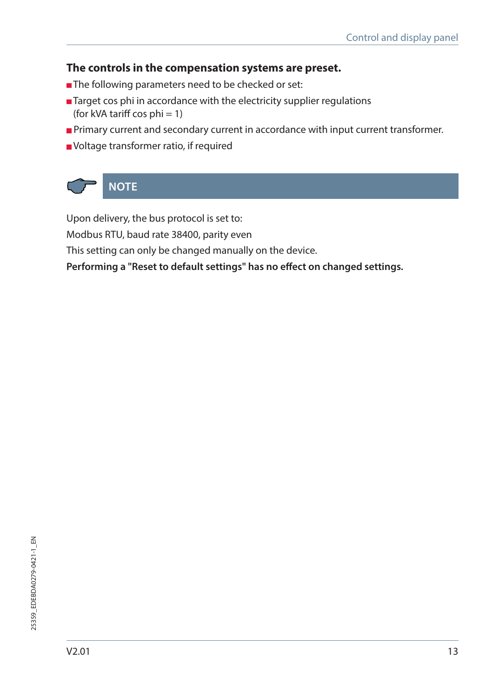#### **The controls in the compensation systems are preset.**

- The following parameters need to be checked or set:
- Target cos phi in accordance with the electricity supplier regulations (for kVA tariff cos  $phi = 1$ )
- **Primary current and secondary current in accordance with input current transformer.**
- Voltage transformer ratio, if required



Upon delivery, the bus protocol is set to:

Modbus RTU, baud rate 38400, parity even

This setting can only be changed manually on the device.

**Performing a "Reset to default settings" has no effect on changed settings.**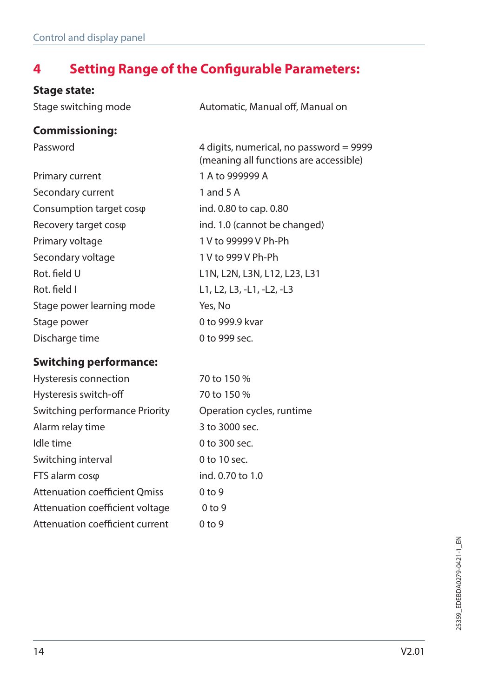# **4 Setting Range of the Configurable Parameters:**

## **Stage state:**

| Stage switching mode          | Automatic, Manual off, Manual on                                                  |
|-------------------------------|-----------------------------------------------------------------------------------|
| <b>Commissioning:</b>         |                                                                                   |
| Password                      | 4 digits, numerical, no password = 9999<br>(meaning all functions are accessible) |
| Primary current               | 1 A to 999999 A                                                                   |
| Secondary current             | 1 and 5 A                                                                         |
| Consumption target coso       | ind. 0.80 to cap. 0.80                                                            |
| Recovery target coso          | ind. 1.0 (cannot be changed)                                                      |
| Primary voltage               | 1 V to 99999 V Ph-Ph                                                              |
| Secondary voltage             | 1 V to 999 V Ph-Ph                                                                |
| Rot. field U                  | L1N, L2N, L3N, L12, L23, L31                                                      |
| Rot. field I                  | L1, L2, L3, -L1, -L2, -L3                                                         |
| Stage power learning mode     | Yes, No                                                                           |
| Stage power                   | 0 to 999.9 kvar                                                                   |
| Discharge time                | 0 to 999 sec.                                                                     |
| <b>Switching performance:</b> |                                                                                   |

| Hysteresis connection                | 70 to 150 %               |
|--------------------------------------|---------------------------|
| Hysteresis switch-off                | 70 to 150 %               |
| Switching performance Priority       | Operation cycles, runtime |
| Alarm relay time                     | 3 to 3000 sec.            |
| Idle time                            | 0 to 300 sec.             |
| Switching interval                   | $0$ to 10 sec.            |
| FTS alarm coso                       | ind. 0.70 to 1.0          |
| <b>Attenuation coefficient Qmiss</b> | 0 <sub>to</sub> 9         |
| Attenuation coefficient voltage      | 0 <sub>to</sub> 9         |
| Attenuation coefficient current      | 0 <sub>to</sub> 9         |
|                                      |                           |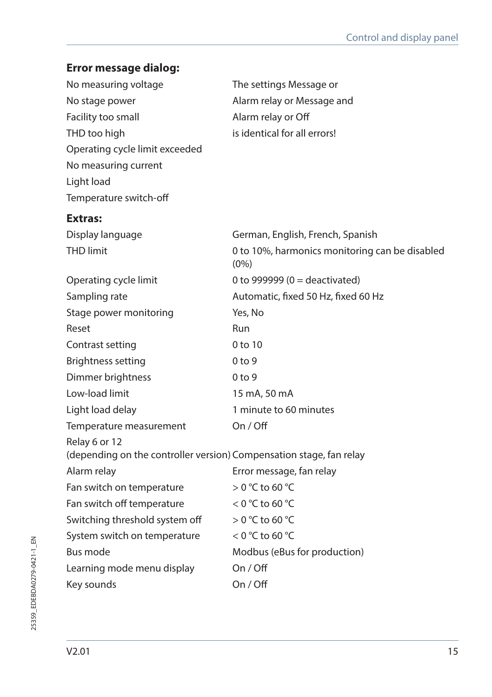| Error message dialog:                                                                |                                                           |
|--------------------------------------------------------------------------------------|-----------------------------------------------------------|
| No measuring voltage                                                                 | The settings Message or                                   |
| No stage power                                                                       | Alarm relay or Message and                                |
| Facility too small                                                                   | Alarm relay or Off                                        |
| THD too high                                                                         | is identical for all errors!                              |
| Operating cycle limit exceeded                                                       |                                                           |
| No measuring current                                                                 |                                                           |
| Light load                                                                           |                                                           |
| Temperature switch-off                                                               |                                                           |
| Extras:                                                                              |                                                           |
| Display language                                                                     | German, English, French, Spanish                          |
| <b>THD limit</b>                                                                     | 0 to 10%, harmonics monitoring can be disabled<br>$(0\%)$ |
| Operating cycle limit                                                                | 0 to 999999 ( $0 =$ deactivated)                          |
| Sampling rate                                                                        | Automatic, fixed 50 Hz, fixed 60 Hz                       |
| Stage power monitoring                                                               | Yes, No                                                   |
| Reset                                                                                | Run                                                       |
| Contrast setting                                                                     | $0$ to $10$                                               |
| <b>Brightness setting</b>                                                            | 0 <sub>to</sub> 9                                         |
| Dimmer brightness                                                                    | 0 <sub>to</sub> 9                                         |
| Low-load limit                                                                       | 15 mA, 50 mA                                              |
| Light load delay                                                                     | 1 minute to 60 minutes                                    |
| Temperature measurement                                                              | On / Off                                                  |
| Relay 6 or 12<br>(depending on the controller version) Compensation stage, fan relay |                                                           |
| Alarm relay                                                                          | Error message, fan relay                                  |
| Fan switch on temperature                                                            | $>$ 0 °C to 60 °C                                         |
| Fan switch off temperature                                                           | $<$ 0 °C to 60 °C                                         |
| Switching threshold system off                                                       | $>$ 0 °C to 60 °C                                         |
| System switch on temperature                                                         | < 0 °C to 60 °C                                           |
| Bus mode                                                                             | Modbus (eBus for production)                              |
| Learning mode menu display                                                           | On / Off                                                  |
| Key sounds                                                                           | On / Off                                                  |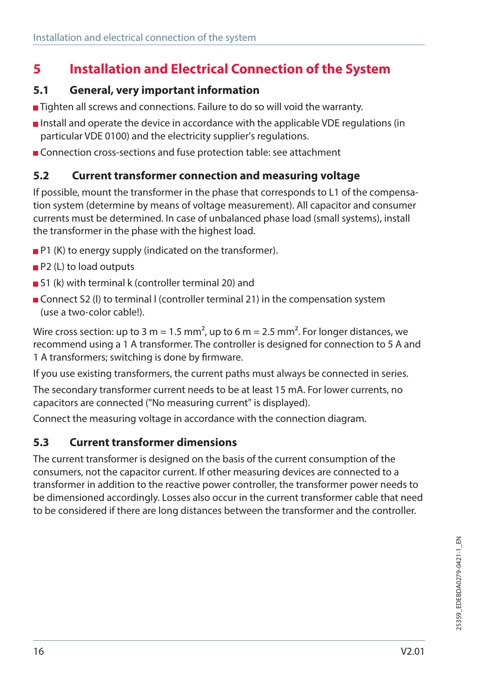# **5 Installation and Electrical Connection of the System**

#### **5.1 General, very important information**

- Tighten all screws and connections. Failure to do so will void the warranty.
- Install and operate the device in accordance with the applicable VDE regulations (in particular VDE 0100) and the electricity supplier's regulations.
- **Connection cross-sections and fuse protection table: see attachment**

### **5.2 Current transformer connection and measuring voltage**

If possible, mount the transformer in the phase that corresponds to L1 of the compensation system (determine by means of voltage measurement). All capacitor and consumer currents must be determined. In case of unbalanced phase load (small systems), install the transformer in the phase with the highest load.

- **P1** (K) to energy supply (indicated on the transformer).
- **P2** (L) to load outputs
- S1 (k) with terminal k (controller terminal 20) and
- Connect S2 (I) to terminal I (controller terminal 21) in the compensation system (use a two-color cable!).

Wire cross section: up to 3 m = 1.5 mm<sup>2</sup>, up to 6 m = 2.5 mm<sup>2</sup>. For longer distances, we recommend using a 1 A transformer. The controller is designed for connection to 5 A and 1 A transformers; switching is done by firmware.

If you use existing transformers, the current paths must always be connected in series.

The secondary transformer current needs to be at least 15 mA. For lower currents, no capacitors are connected ("No measuring current" is displayed).

Connect the measuring voltage in accordance with the connection diagram.

### **5.3 Current transformer dimensions**

The current transformer is designed on the basis of the current consumption of the consumers, not the capacitor current. If other measuring devices are connected to a transformer in addition to the reactive power controller, the transformer power needs to be dimensioned accordingly. Losses also occur in the current transformer cable that need to be considered if there are long distances between the transformer and the controller.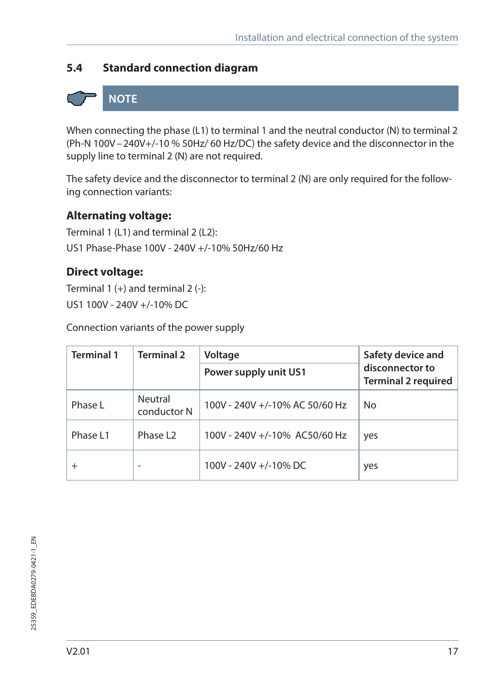## **5.4 Standard connection diagram**

# **NOTE**

When connecting the phase (L1) to terminal 1 and the neutral conductor (N) to terminal 2 (Ph-N 100V–240V+/-10 % 50Hz/ 60 Hz/DC) the safety device and the disconnector in the supply line to terminal 2 (N) are not required.

The safety device and the disconnector to terminal 2 (N) are only required for the following connection variants:

#### **Alternating voltage:**

Terminal 1 (L1) and terminal 2 (L2): US1 Phase-Phase 100V - 240V +/-10% 50Hz/60 Hz

#### **Direct voltage:**

Terminal  $1 (+)$  and terminal  $2 (-)$ : US1 100V - 240V +/-10% DC

Connection variants of the power supply

| <b>Terminal 1</b> | <b>Terminal 2</b>      | Voltage                        | Safety device and                             |
|-------------------|------------------------|--------------------------------|-----------------------------------------------|
|                   |                        | Power supply unit US1          | disconnector to<br><b>Terminal 2 required</b> |
| Phase L           | Neutral<br>conductor N | 100V - 240V +/-10% AC 50/60 Hz | No                                            |
| Phase L1          | Phase 12               | 100V - 240V +/-10% AC50/60 Hz  | yes                                           |
| $^+$              |                        | 100V - 240V +/-10% DC          | yes                                           |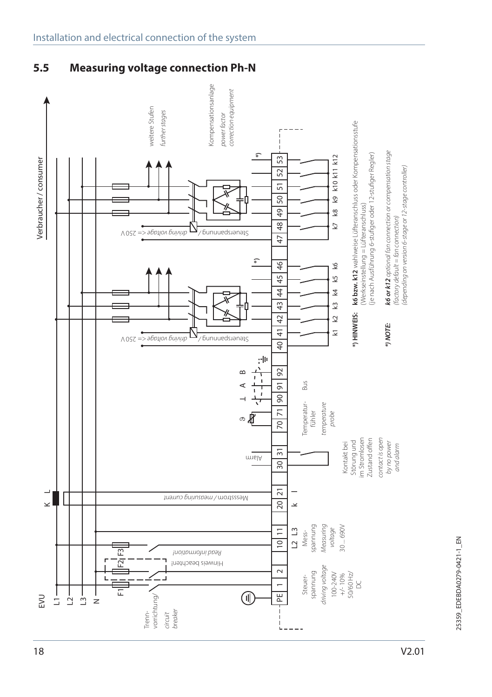### **5.5 Measuring voltage connection Ph-N**



V2.01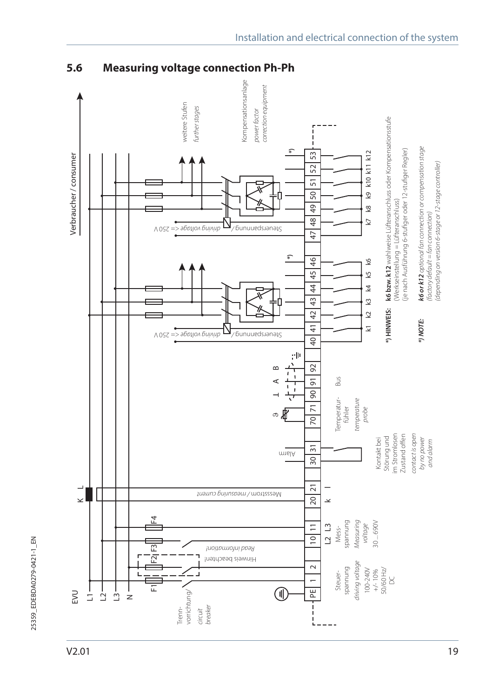V2.01



## **5.6 Measuring voltage connection Ph-Ph**

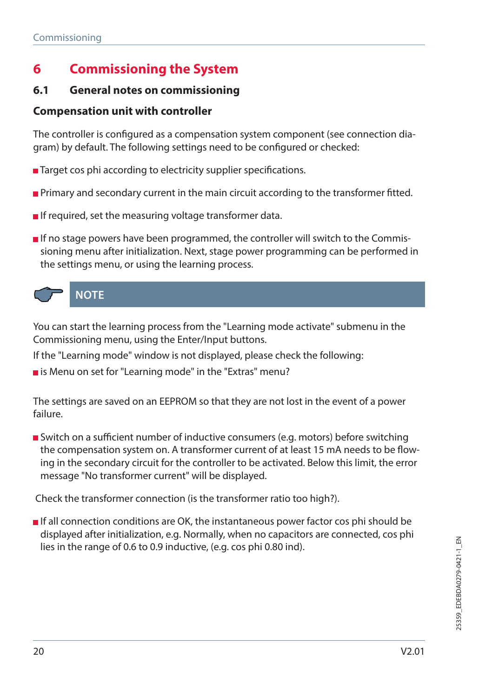# **6 Commissioning the System**

### **6.1 General notes on commissioning**

### **Compensation unit with controller**

The controller is configured as a compensation system component (see connection diagram) by default. The following settings need to be configured or checked:

- Target cos phi according to electricity supplier specifications.
- **Primary and secondary current in the main circuit according to the transformer fitted.**
- If required, set the measuring voltage transformer data.
- If no stage powers have been programmed, the controller will switch to the Commissioning menu after initialization. Next, stage power programming can be performed in the settings menu, or using the learning process.



You can start the learning process from the "Learning mode activate" submenu in the Commissioning menu, using the Enter/Input buttons.

If the "Learning mode" window is not displayed, please check the following:

 $\blacksquare$  is Menu on set for "Learning mode" in the "Extras" menu?

The settings are saved on an EEPROM so that they are not lost in the event of a power failure.

Switch on a sufficient number of inductive consumers (e.g. motors) before switching the compensation system on. A transformer current of at least 15 mA needs to be flowing in the secondary circuit for the controller to be activated. Below this limit, the error message "No transformer current" will be displayed.

Check the transformer connection (is the transformer ratio too high?).

**If all connection conditions are OK, the instantaneous power factor cos phi should be** displayed after initialization, e.g. Normally, when no capacitors are connected, cos phi lies in the range of 0.6 to 0.9 inductive, (e.g. cos phi 0.80 ind).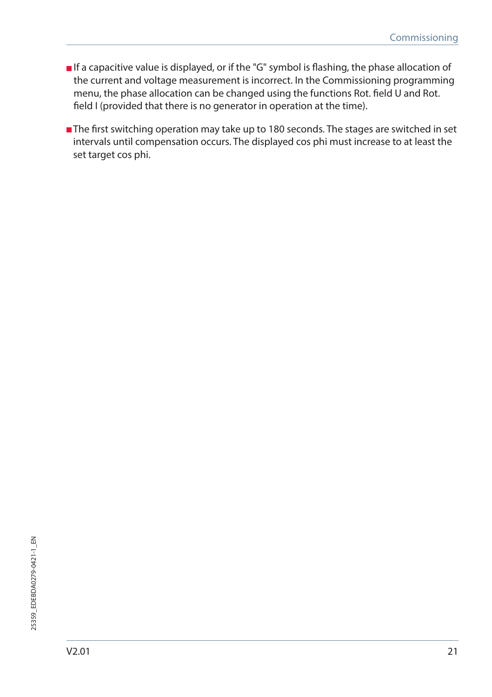- **If a capacitive value is displayed, or if the "G" symbol is flashing, the phase allocation of** the current and voltage measurement is incorrect. In the Commissioning programming menu, the phase allocation can be changed using the functions Rot. field U and Rot. field I (provided that there is no generator in operation at the time).
- The first switching operation may take up to 180 seconds. The stages are switched in set intervals until compensation occurs. The displayed cos phi must increase to at least the set target cos phi.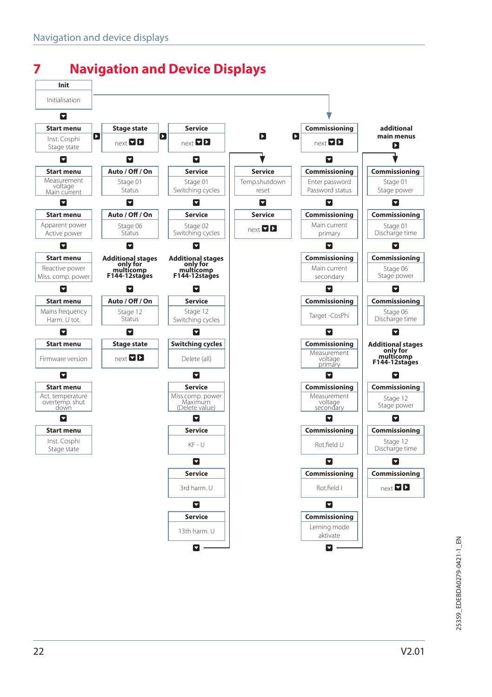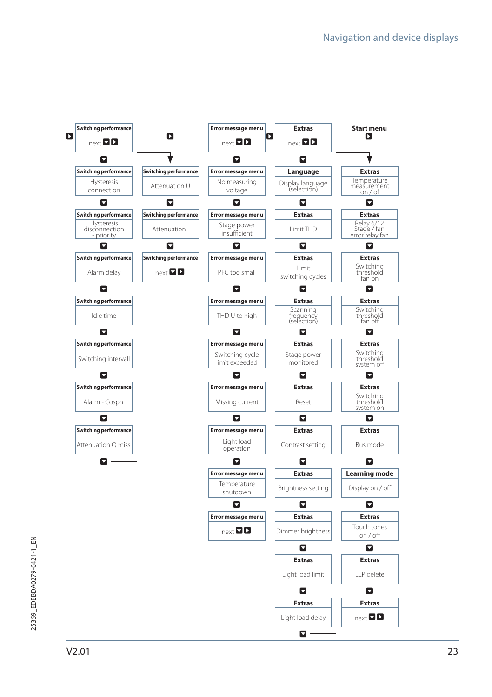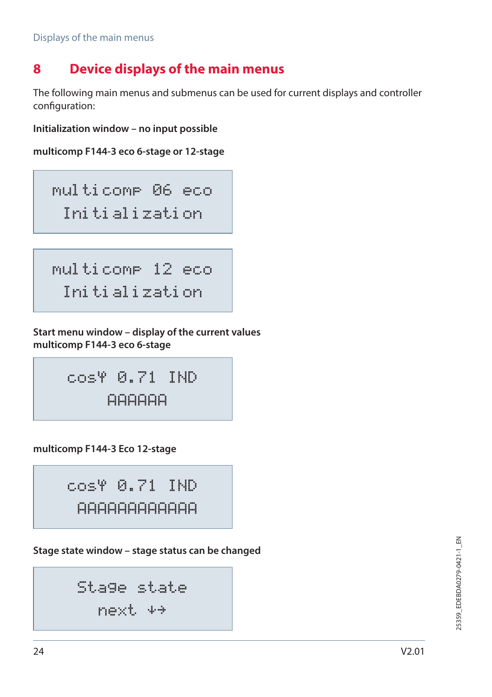# **8 Device displays of the main menus**

The following main menus and submenus can be used for current displays and controller configuration:

**Initialization window – no input possible**

```
multicomp F144-3 eco 6-stage or 12-stage
```
multicomp 06 eco Initialization

```
multicomp 12 eco
 Initialization
```
**Start menu window – display of the current values multicomp F144-3 eco 6-stage**

cos 0.71 IND AAAAAA

**multicomp F144-3 Eco 12-stage**

cos 0.71 IND AAAAAAAAAAAA

**Stage state window – stage status can be changed**

```
Stage state
 next
```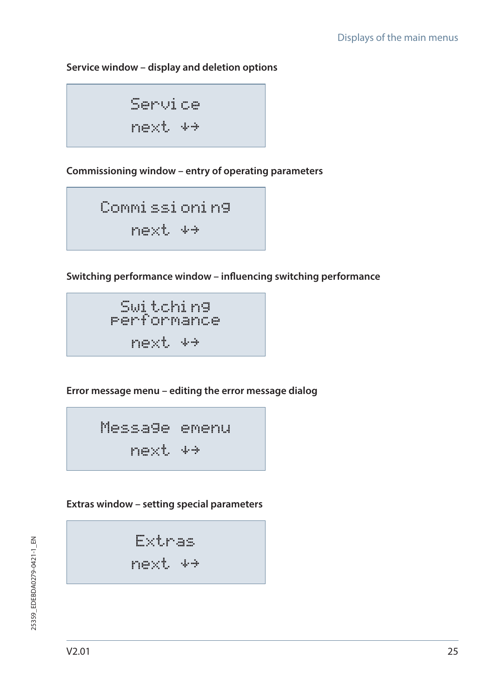#### **Service window – display and deletion options**

Service next

**Commissioning window – entry of operating parameters**

Commissioning next

**Switching performance window – influencing switching performance**

Switching performance next

**Error message menu – editing the error message dialog**

Message emenu next

**Extras window – setting special parameters**

Extras

next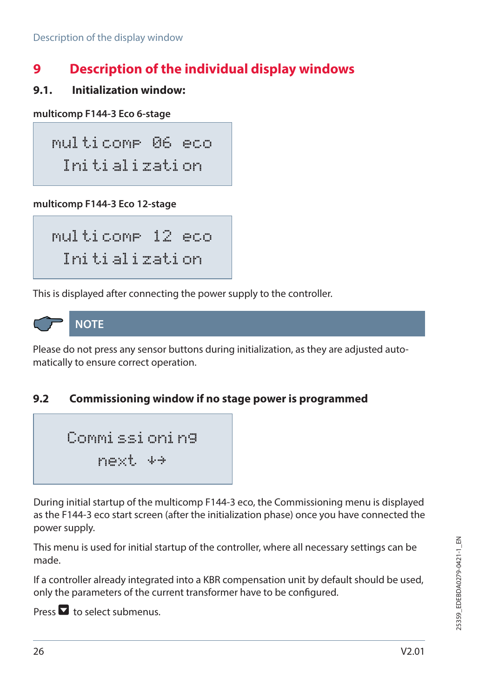# **9 Description of the individual display windows**

#### **9.1. Initialization window:**

**multicomp F144-3 Eco 6-stage**

multicomp 06 eco Initialization

**multicomp F144-3 Eco 12-stage**

multicomp 12 eco Initialization

This is displayed after connecting the power supply to the controller.



Please do not press any sensor buttons during initialization, as they are adjusted automatically to ensure correct operation.

## **9.2 Commissioning window if no stage power is programmed**

Commissioning next

During initial startup of the multicomp F144-3 eco, the Commissioning menu is displayed as the F144-3 eco start screen (after the initialization phase) once you have connected the power supply.

This menu is used for initial startup of the controller, where all necessary settings can be made.

If a controller already integrated into a KBR compensation unit by default should be used, only the parameters of the current transformer have to be configured.

Press  $\blacksquare$  to select submenus.

25359\_EDEBDA0279-0421-1\_EN 25359\_EDEBDA0279-0421-1\_EN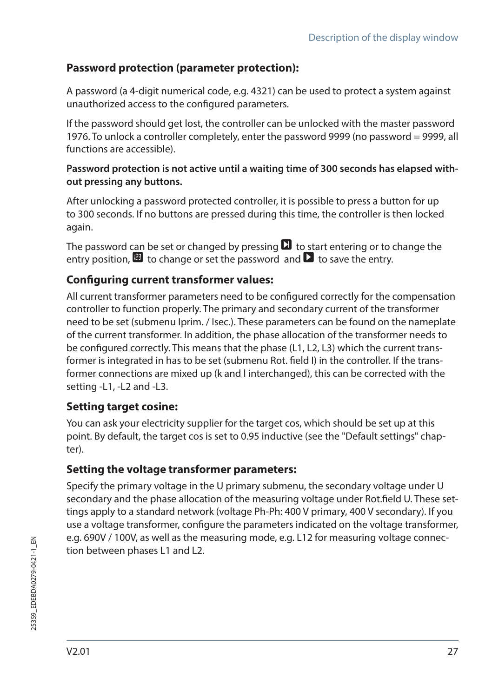### **Password protection (parameter protection):**

A password (a 4-digit numerical code, e.g. 4321) can be used to protect a system against unauthorized access to the configured parameters.

If the password should get lost, the controller can be unlocked with the master password 1976. To unlock a controller completely, enter the password 9999 (no password = 9999, all functions are accessible).

#### **Password protection is not active until a waiting time of 300 seconds has elapsed without pressing any buttons.**

After unlocking a password protected controller, it is possible to press a button for up to 300 seconds. If no buttons are pressed during this time, the controller is then locked again.

The password can be set or changed by pressing  $\Box$  to start entering or to change the entry position,  $\blacksquare$  to change or set the password and  $\blacksquare$  to save the entry.

### **Configuring current transformer values:**

All current transformer parameters need to be configured correctly for the compensation controller to function properly. The primary and secondary current of the transformer need to be set (submenu Iprim. / Isec.). These parameters can be found on the nameplate of the current transformer. In addition, the phase allocation of the transformer needs to be configured correctly. This means that the phase (L1, L2, L3) which the current transformer is integrated in has to be set (submenu Rot. field I) in the controller. If the transformer connections are mixed up (k and l interchanged), this can be corrected with the setting -L1, -L2 and -L3.

### **Setting target cosine:**

You can ask your electricity supplier for the target cos, which should be set up at this point. By default, the target cos is set to 0.95 inductive (see the "Default settings" chapter).

### **Setting the voltage transformer parameters:**

Specify the primary voltage in the U primary submenu, the secondary voltage under U secondary and the phase allocation of the measuring voltage under Rot.field U. These settings apply to a standard network (voltage Ph-Ph: 400 V primary, 400 V secondary). If you use a voltage transformer, configure the parameters indicated on the voltage transformer, e.g. 690V / 100V, as well as the measuring mode, e.g. L12 for measuring voltage connection between phases L1 and L2.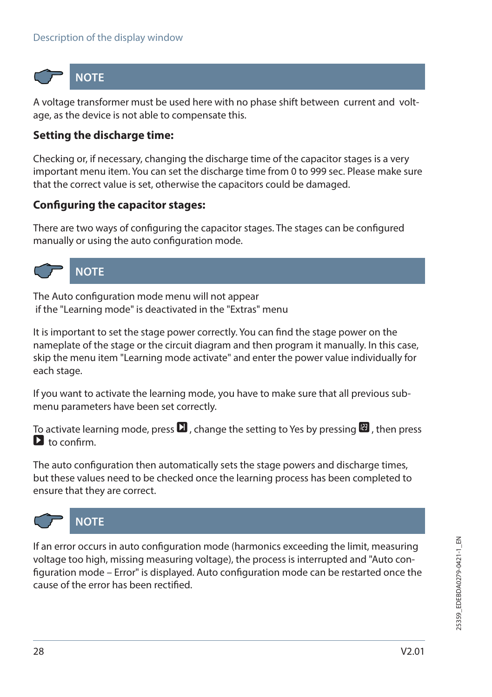

**NOTE**

A voltage transformer must be used here with no phase shift between current and voltage, as the device is not able to compensate this.

### **Setting the discharge time:**

Checking or, if necessary, changing the discharge time of the capacitor stages is a very important menu item. You can set the discharge time from 0 to 999 sec. Please make sure that the correct value is set, otherwise the capacitors could be damaged.

#### **Configuring the capacitor stages:**

There are two ways of configuring the capacitor stages. The stages can be configured manually or using the auto configuration mode.



## **NOTE**

The Auto configuration mode menu will not appear if the "Learning mode" is deactivated in the "Extras" menu

It is important to set the stage power correctly. You can find the stage power on the nameplate of the stage or the circuit diagram and then program it manually. In this case, skip the menu item "Learning mode activate" and enter the power value individually for each stage.

If you want to activate the learning mode, you have to make sure that all previous submenu parameters have been set correctly.

To activate learning mode, press  $\Box$ , change the setting to Yes by pressing  $\Box$ , then press  $\sum$  to confirm.

The auto configuration then automatically sets the stage powers and discharge times, but these values need to be checked once the learning process has been completed to ensure that they are correct.



## **NOTE**

If an error occurs in auto configuration mode (harmonics exceeding the limit, measuring voltage too high, missing measuring voltage), the process is interrupted and "Auto configuration mode – Error" is displayed. Auto configuration mode can be restarted once the cause of the error has been rectified.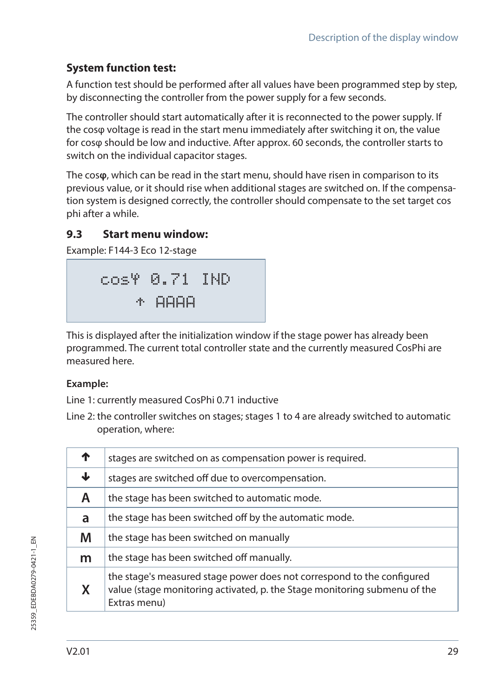## **System function test:**

A function test should be performed after all values have been programmed step by step, by disconnecting the controller from the power supply for a few seconds.

The controller should start automatically after it is reconnected to the power supply. If the cosφ voltage is read in the start menu immediately after switching it on, the value for cosφ should be low and inductive. After approx. 60 seconds, the controller starts to switch on the individual capacitor stages.

The cos**φ**, which can be read in the start menu, should have risen in comparison to its previous value, or it should rise when additional stages are switched on. If the compensation system is designed correctly, the controller should compensate to the set target cos phi after a while.

#### **9.3 Start menu window:**

Example: F144-3 Eco 12-stage

$$
\begin{array}{r}\n\text{cos}\Psi & \text{0.71} & \text{IND} \\
\text{\#} & \text{A} & \text{HAH}\n\end{array}
$$

This is displayed after the initialization window if the stage power has already been programmed. The current total controller state and the currently measured CosPhi are measured here.

#### **Example:**

Line 1: currently measured CosPhi 0.71 inductive

Line 2: the controller switches on stages; stages 1 to 4 are already switched to automatic operation, where:

|   | stages are switched on as compensation power is required.                                                                                                           |
|---|---------------------------------------------------------------------------------------------------------------------------------------------------------------------|
| J | stages are switched off due to overcompensation.                                                                                                                    |
| Α | the stage has been switched to automatic mode.                                                                                                                      |
| a | the stage has been switched off by the automatic mode.                                                                                                              |
| M | the stage has been switched on manually                                                                                                                             |
| m | the stage has been switched off manually.                                                                                                                           |
| x | the stage's measured stage power does not correspond to the configured<br>value (stage monitoring activated, p. the Stage monitoring submenu of the<br>Extras menu) |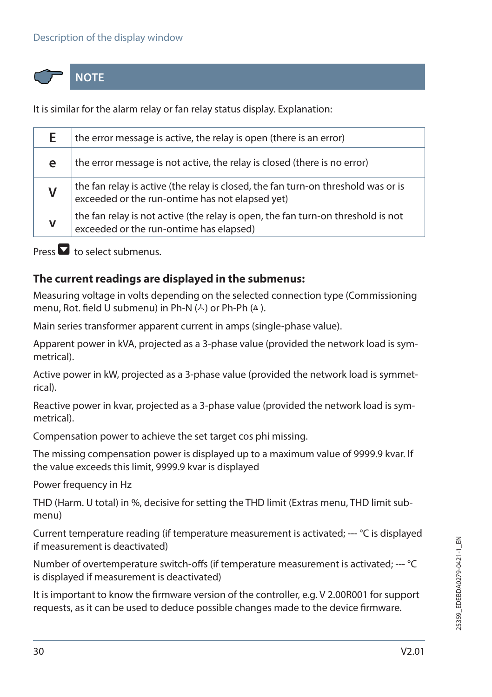#### Description of the display window



**NOTE**

It is similar for the alarm relay or fan relay status display. Explanation:

| F. | the error message is active, the relay is open (there is an error)                                                                   |
|----|--------------------------------------------------------------------------------------------------------------------------------------|
| е  | the error message is not active, the relay is closed (there is no error)                                                             |
|    | the fan relay is active (the relay is closed, the fan turn-on threshold was or is<br>exceeded or the run-ontime has not elapsed yet) |
| v  | the fan relay is not active (the relay is open, the fan turn-on threshold is not<br>exceeded or the run-ontime has elapsed)          |

Press  $\blacksquare$  to select submenus.

#### **The current readings are displayed in the submenus:**

Measuring voltage in volts depending on the selected connection type (Commissioning menu, Rot. field U submenu) in Ph-N  $(A)$  or Ph-Ph  $(A)$ .

Main series transformer apparent current in amps (single-phase value).

Apparent power in kVA, projected as a 3-phase value (provided the network load is symmetrical).

Active power in kW, projected as a 3-phase value (provided the network load is symmetrical).

Reactive power in kvar, projected as a 3-phase value (provided the network load is symmetrical).

Compensation power to achieve the set target cos phi missing.

The missing compensation power is displayed up to a maximum value of 9999.9 kvar. If the value exceeds this limit, 9999.9 kvar is displayed

Power frequency in Hz

THD (Harm. U total) in %, decisive for setting the THD limit (Extras menu, THD limit submenu)

Current temperature reading (if temperature measurement is activated; --- °C is displayed if measurement is deactivated)

Number of overtemperature switch-offs (if temperature measurement is activated; --- °C is displayed if measurement is deactivated)

It is important to know the firmware version of the controller, e.g. V 2.00R001 for support requests, as it can be used to deduce possible changes made to the device firmware.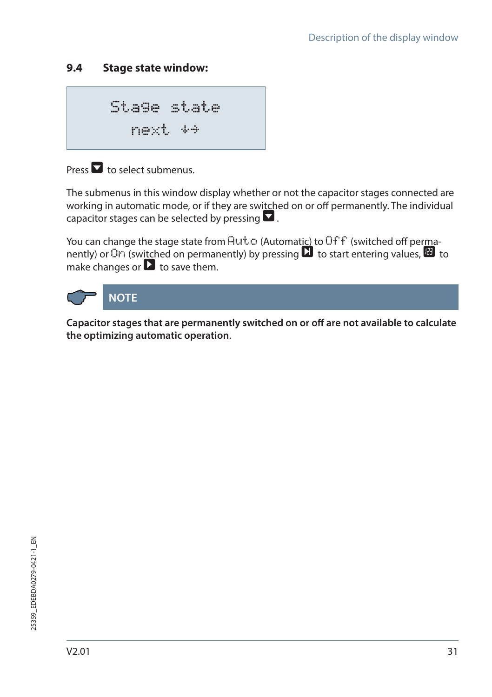## **9.4 Stage state window:**

Stage state next

## Press  $\blacksquare$  to select submenus.

The submenus in this window display whether or not the capacitor stages connected are working in automatic mode, or if they are switched on or off permanently. The individual capacitor stages can be selected by pressing  $\blacksquare$ .

You can change the stage state from  $Hut$ <sup>c</sup> (Automatic) to Off f (switched off permanently) or  $\overline{O}$  (switched on permanently) by pressing  $\overline{O}$  to start entering values,  $\overline{O}$  to make changes or  $\blacksquare$  to save them.



**Capacitor stages that are permanently switched on or off are not available to calculate the optimizing automatic operation**.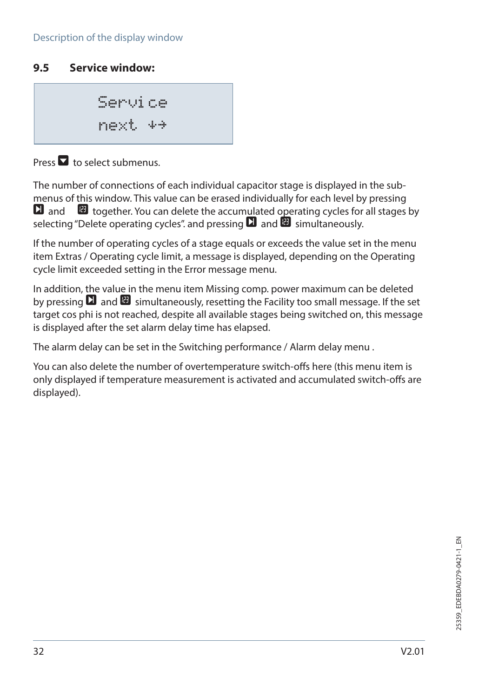#### **9.5 Service window:**

Service next

Press  $\blacksquare$  to select submenus.

The number of connections of each individual capacitor stage is displayed in the submenus of this window. This value can be erased individually for each level by pressing  $\Box$  and  $\Box$  together. You can delete the accumulated operating cycles for all stages by selecting "Delete operating cycles" and pressing  $\Box$  and  $\Box$  simultaneously.

If the number of operating cycles of a stage equals or exceeds the value set in the menu item Extras / Operating cycle limit, a message is displayed, depending on the Operating cycle limit exceeded setting in the Error message menu.

In addition, the value in the menu item Missing comp. power maximum can be deleted by pressing  $\Box$  and  $\Box$  simultaneously, resetting the Facility too small message. If the set target cos phi is not reached, despite all available stages being switched on, this message is displayed after the set alarm delay time has elapsed.

The alarm delay can be set in the Switching performance / Alarm delay menu .

You can also delete the number of overtemperature switch-offs here (this menu item is only displayed if temperature measurement is activated and accumulated switch-offs are displayed).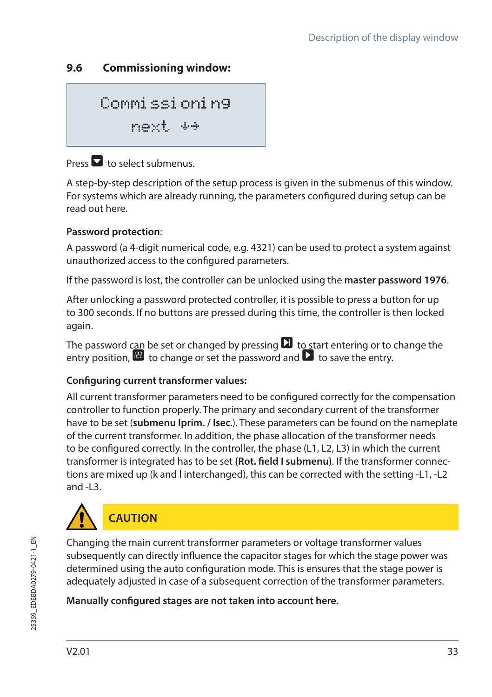### **9.6 Commissioning window:**

Commissioning next

## Press  $\blacksquare$  to select submenus.

A step-by-step description of the setup process is given in the submenus of this window. For systems which are already running, the parameters configured during setup can be read out here.

#### **Password protection**:

A password (a 4-digit numerical code, e.g. 4321) can be used to protect a system against unauthorized access to the configured parameters.

If the password is lost, the controller can be unlocked using the **master password 1976**.

After unlocking a password protected controller, it is possible to press a button for up to 300 seconds. If no buttons are pressed during this time, the controller is then locked again.

The password can be set or changed by pressing  $\Box$  to start entering or to change the entry position,  $\mathbf{F}$  to change or set the password and  $\mathbf{F}$  to save the entry.

#### **Configuring current transformer values:**

All current transformer parameters need to be configured correctly for the compensation controller to function properly. The primary and secondary current of the transformer have to be set (**submenu Iprim. / Isec**.). These parameters can be found on the nameplate of the current transformer. In addition, the phase allocation of the transformer needs to be configured correctly. In the controller, the phase (L1, L2, L3) in which the current transformer is integrated has to be set **(Rot. field I submenu)**. If the transformer connections are mixed up (k and l interchanged), this can be corrected with the setting -L1, -L2 and -L3.



Changing the main current transformer parameters or voltage transformer values subsequently can directly influence the capacitor stages for which the stage power was determined using the auto configuration mode. This is ensures that the stage power is adequately adjusted in case of a subsequent correction of the transformer parameters.

#### **Manually configured stages are not taken into account here.**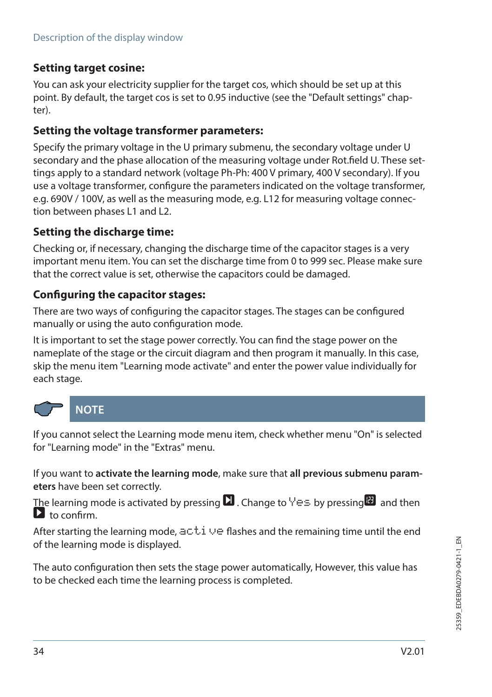### **Setting target cosine:**

You can ask your electricity supplier for the target cos, which should be set up at this point. By default, the target cos is set to 0.95 inductive (see the "Default settings" chapter).

#### **Setting the voltage transformer parameters:**

Specify the primary voltage in the U primary submenu, the secondary voltage under U secondary and the phase allocation of the measuring voltage under Rot.field U. These settings apply to a standard network (voltage Ph-Ph: 400 V primary, 400 V secondary). If you use a voltage transformer, configure the parameters indicated on the voltage transformer, e.g. 690V / 100V, as well as the measuring mode, e.g. L12 for measuring voltage connection between phases L1 and L2.

#### **Setting the discharge time:**

Checking or, if necessary, changing the discharge time of the capacitor stages is a very important menu item. You can set the discharge time from 0 to 999 sec. Please make sure that the correct value is set, otherwise the capacitors could be damaged.

#### **Configuring the capacitor stages:**

There are two ways of configuring the capacitor stages. The stages can be configured manually or using the auto configuration mode.

It is important to set the stage power correctly. You can find the stage power on the nameplate of the stage or the circuit diagram and then program it manually. In this case, skip the menu item "Learning mode activate" and enter the power value individually for each stage.



If you cannot select the Learning mode menu item, check whether menu "On" is selected for "Learning mode" in the "Extras" menu.

If you want to **activate the learning mode**, make sure that **all previous submenu parameters** have been set correctly.

The learning mode is activated by pressing  $\Box$  Change to  $\lor \equiv$  by pressing  $\Box$  and then  $\mathbf{\mathsf{D}}$  to confirm.

After starting the learning mode,  $\exists c.t.$   $\cup \in$  flashes and the remaining time until the end of the learning mode is displayed.

The auto configuration then sets the stage power automatically, However, this value has to be checked each time the learning process is completed.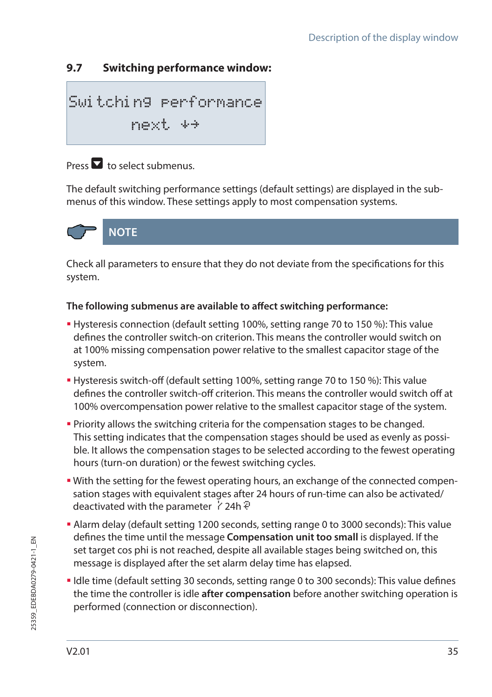## **9.7 Switching performance window:**

$$
\begin{array}{lcl} \text{Swi tchin9} & \text{performance} \\ & \text{next} & \leftrightarrow \end{array}
$$

## $Procs$  to select submenus.

The default switching performance settings (default settings) are displayed in the submenus of this window. These settings apply to most compensation systems.



Check all parameters to ensure that they do not deviate from the specifications for this system.

#### **The following submenus are available to affect switching performance:**

- Hysteresis connection (default setting 100%, setting range 70 to 150 %): This value defines the controller switch-on criterion. This means the controller would switch on at 100% missing compensation power relative to the smallest capacitor stage of the system.
- Hysteresis switch-off (default setting 100%, setting range 70 to 150 %): This value defines the controller switch-off criterion. This means the controller would switch off at 100% overcompensation power relative to the smallest capacitor stage of the system.
- Priority allows the switching criteria for the compensation stages to be changed. This setting indicates that the compensation stages should be used as evenly as possible. It allows the compensation stages to be selected according to the fewest operating hours (turn-on duration) or the fewest switching cycles.
- With the setting for the fewest operating hours, an exchange of the connected compensation stages with equivalent stages after 24 hours of run-time can also be activated/ deactivated with the parameter  $\dot{\gamma}$  24h  $\ddot{\gamma}$
- Alarm delay (default setting 1200 seconds, setting range 0 to 3000 seconds): This value defines the time until the message **Compensation unit too small** is displayed. If the set target cos phi is not reached, despite all available stages being switched on, this message is displayed after the set alarm delay time has elapsed.
- Idle time (default setting 30 seconds, setting range 0 to 300 seconds): This value defines the time the controller is idle **after compensation** before another switching operation is performed (connection or disconnection).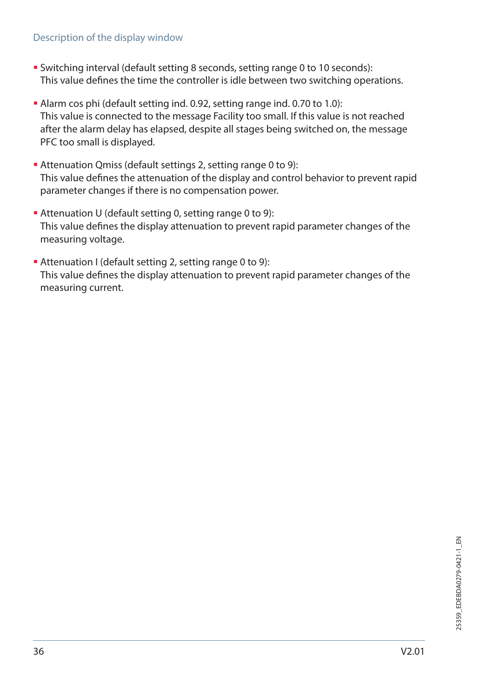#### Description of the display window

- Switching interval (default setting 8 seconds, setting range 0 to 10 seconds): This value defines the time the controller is idle between two switching operations.
- Alarm cos phi (default setting ind. 0.92, setting range ind. 0.70 to 1.0): This value is connected to the message Facility too small. If this value is not reached after the alarm delay has elapsed, despite all stages being switched on, the message PFC too small is displayed.
- Attenuation Qmiss (default settings 2, setting range 0 to 9): This value defines the attenuation of the display and control behavior to prevent rapid parameter changes if there is no compensation power.
- Attenuation U (default setting 0, setting range 0 to 9): This value defines the display attenuation to prevent rapid parameter changes of the measuring voltage.
- Attenuation I (default setting 2, setting range 0 to 9): This value defines the display attenuation to prevent rapid parameter changes of the measuring current.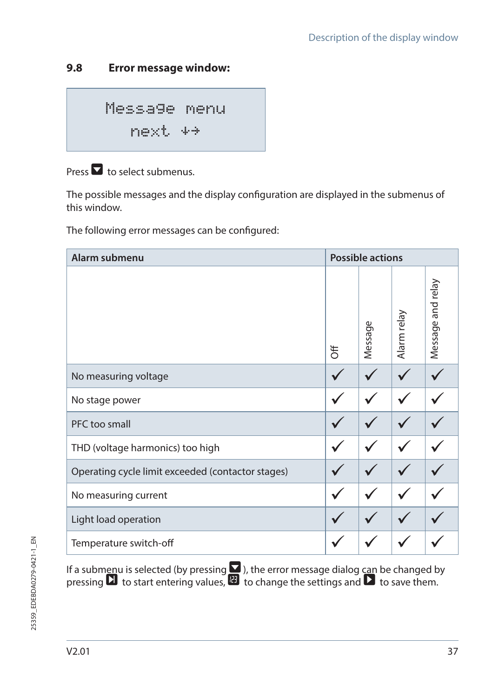### **9.8 Error message window:**

Message menu next

Press  $\blacksquare$  to select submenus.

The possible messages and the display configuration are displayed in the submenus of this window.

The following error messages can be configured:

| Alarm submenu                                     |   | <b>Possible actions</b> |             |                   |
|---------------------------------------------------|---|-------------------------|-------------|-------------------|
|                                                   | ₹ | Φ<br>Messag             | Alarm relay | Message and relay |
| No measuring voltage                              |   |                         |             |                   |
| No stage power                                    |   |                         |             |                   |
| PFC too small                                     |   |                         |             |                   |
| THD (voltage harmonics) too high                  |   |                         |             |                   |
| Operating cycle limit exceeded (contactor stages) |   |                         |             |                   |
| No measuring current                              |   |                         |             |                   |
| Light load operation                              |   |                         |             |                   |
| Temperature switch-off                            |   |                         |             |                   |

If a submenu is selected (by pressing  $\blacksquare$  ), the error message dialog can be changed by pressing  $\Box$  to start entering values,  $\Box$  to change the settings and  $\Box$  to save them.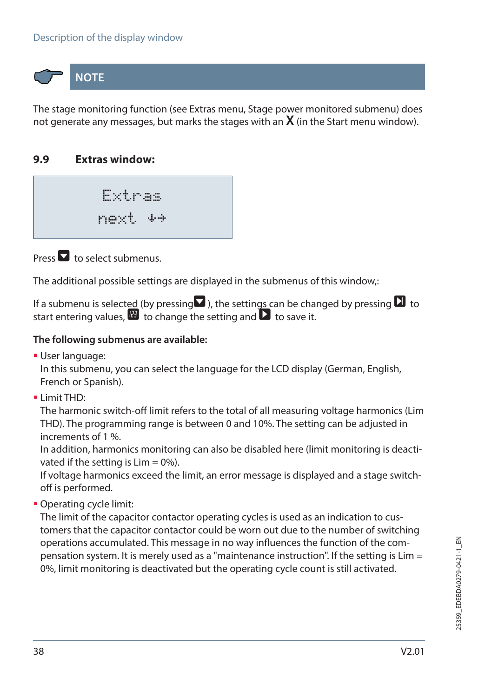#### Description of the display window

**NOTE**

The stage monitoring function (see Extras menu, Stage power monitored submenu) does not generate any messages, but marks the stages with an **X** (in the Start menu window).

#### **9.9 Extras window:**

Extras next

Press  $\blacksquare$  to select submenus.

The additional possible settings are displayed in the submenus of this window,:

If a submenu is selected (by pressing  $\blacksquare$ ), the settings can be changed by pressing  $\blacksquare$  to start entering values,  $\mathbf{E}$  to change the setting and  $\mathbf{\Sigma}$  to save it.

#### **The following submenus are available:**

User language:

In this submenu, you can select the language for the LCD display (German, English, French or Spanish).

 $\blacksquare$  Limit THD:

The harmonic switch-off limit refers to the total of all measuring voltage harmonics (Lim THD). The programming range is between 0 and 10%. The setting can be adjusted in increments of 1 %.

In addition, harmonics monitoring can also be disabled here (limit monitoring is deactivated if the setting is  $Lim = 0\%$ ).

If voltage harmonics exceed the limit, an error message is displayed and a stage switchoff is performed.

Operating cycle limit:

The limit of the capacitor contactor operating cycles is used as an indication to customers that the capacitor contactor could be worn out due to the number of switching operations accumulated. This message in no way influences the function of the compensation system. It is merely used as a "maintenance instruction". If the setting is Lim = 0%, limit monitoring is deactivated but the operating cycle count is still activated.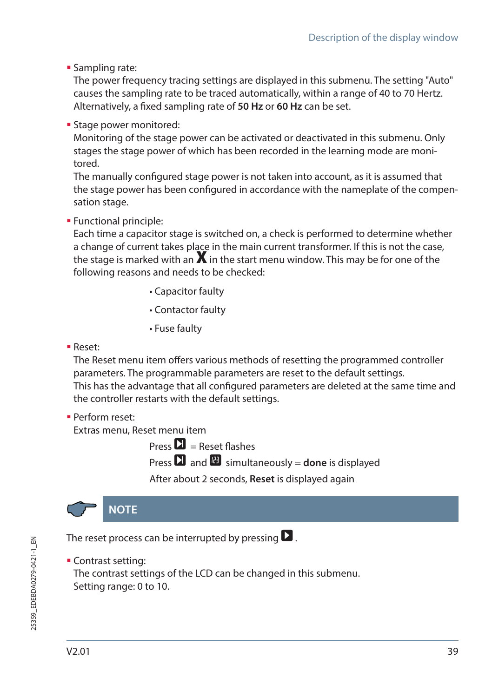**Sampling rate:** 

The power frequency tracing settings are displayed in this submenu. The setting "Auto" causes the sampling rate to be traced automatically, within a range of 40 to 70 Hertz. Alternatively, a fixed sampling rate of **50 Hz** or **60 Hz** can be set.

**Stage power monitored:** 

Monitoring of the stage power can be activated or deactivated in this submenu. Only stages the stage power of which has been recorded in the learning mode are monitored.

The manually configured stage power is not taken into account, as it is assumed that the stage power has been configured in accordance with the nameplate of the compensation stage.

#### Functional principle:

Each time a capacitor stage is switched on, a check is performed to determine whether a change of current takes place in the main current transformer. If this is not the case, the stage is marked with an  $\bm{X}$  in the start menu window. This may be for one of the following reasons and needs to be checked:

- Capacitor faulty
- Contactor faulty
- Fuse faulty
- Reset:

The Reset menu item offers various methods of resetting the programmed controller parameters. The programmable parameters are reset to the default settings. This has the advantage that all configured parameters are deleted at the same time and the controller restarts with the default settings.

Perform reset:

Extras menu, Reset menu item

Press  $\mathbf{\Sigma}$  = Reset flashes

**Press**  $\sum$  and  $\sum$  simultaneously = **done** is displayed

After about 2 seconds, **Reset** is displayed again



The reset process can be interrupted by pressing  $\blacksquare$ .

**Contrast setting:** 

The contrast settings of the LCD can be changed in this submenu. Setting range: 0 to 10.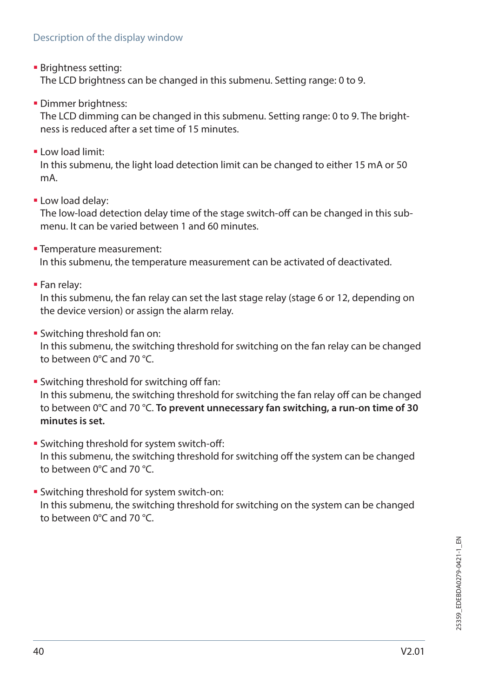**Brightness setting:** 

The LCD brightness can be changed in this submenu. Setting range: 0 to 9.

**Dimmer brightness:** 

The LCD dimming can be changed in this submenu. Setting range: 0 to 9. The brightness is reduced after a set time of 15 minutes.

Low load limit:

In this submenu, the light load detection limit can be changed to either 15 mA or 50 mA.

**-Low load delay:** 

The low-load detection delay time of the stage switch-off can be changed in this submenu. It can be varied between 1 and 60 minutes.

- **Temperature measurement:** In this submenu, the temperature measurement can be activated of deactivated.
- Fan relay:

In this submenu, the fan relay can set the last stage relay (stage 6 or 12, depending on the device version) or assign the alarm relay.

Switching threshold fan on:

In this submenu, the switching threshold for switching on the fan relay can be changed to between 0°C and 70 °C.

- **Switching threshold for switching off fan:** In this submenu, the switching threshold for switching the fan relay off can be changed to between 0°C and 70 °C. **To prevent unnecessary fan switching, a run-on time of 30 minutes is set.**
- **Switching threshold for system switch-off:** In this submenu, the switching threshold for switching off the system can be changed to between 0°C and 70 °C.
- Switching threshold for system switch-on: In this submenu, the switching threshold for switching on the system can be changed to between 0°C and 70 °C.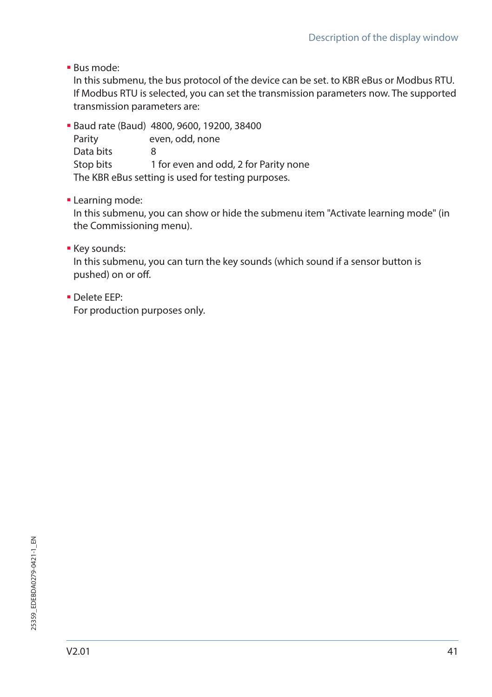Bus mode:

In this submenu, the bus protocol of the device can be set. to KBR eBus or Modbus RTU. If Modbus RTU is selected, you can set the transmission parameters now. The supported transmission parameters are:

 Baud rate (Baud) 4800, 9600, 19200, 38400 Parity even, odd, none Data bits 8 Stop bits 1 for even and odd, 2 for Parity none The KBR eBus setting is used for testing purposes.

**-** Learning mode:

In this submenu, you can show or hide the submenu item "Activate learning mode" (in the Commissioning menu).

**Key sounds:** 

In this submenu, you can turn the key sounds (which sound if a sensor button is pushed) on or off.

Delete EEP:

For production purposes only.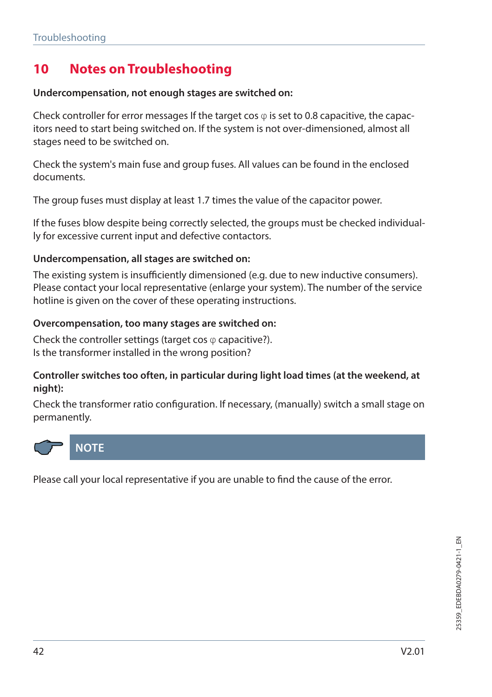# **10 Notes on Troubleshooting**

#### **Undercompensation, not enough stages are switched on:**

Check controller for error messages If the target cos  $\varphi$  is set to 0.8 capacitive, the capacitors need to start being switched on. If the system is not over-dimensioned, almost all stages need to be switched on.

Check the system's main fuse and group fuses. All values can be found in the enclosed documents.

The group fuses must display at least 1.7 times the value of the capacitor power.

If the fuses blow despite being correctly selected, the groups must be checked individually for excessive current input and defective contactors.

#### **Undercompensation, all stages are switched on:**

The existing system is insufficiently dimensioned (e.g. due to new inductive consumers). Please contact your local representative (enlarge your system). The number of the service hotline is given on the cover of these operating instructions.

#### **Overcompensation, too many stages are switched on:**

Check the controller settings (target cos  $\varphi$  capacitive?). Is the transformer installed in the wrong position?

#### **Controller switches too often, in particular during light load times (at the weekend, at night):**

Check the transformer ratio configuration. If necessary, (manually) switch a small stage on permanently.



Please call your local representative if you are unable to find the cause of the error.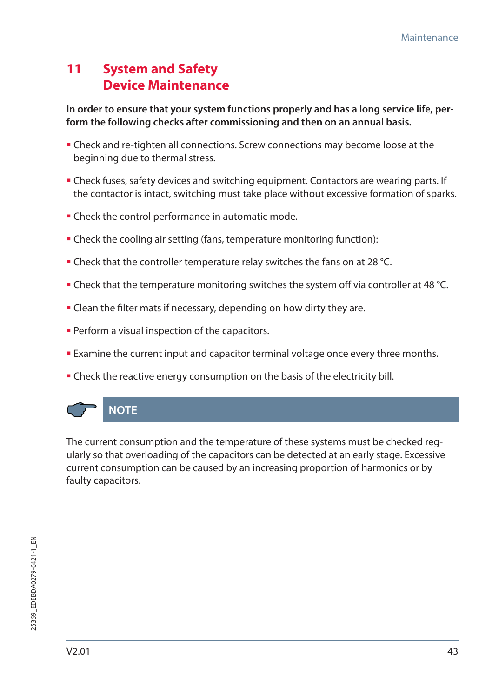# **11 System and Safety Device Maintenance**

**In order to ensure that your system functions properly and has a long service life, perform the following checks after commissioning and then on an annual basis.**

- Check and re-tighten all connections. Screw connections may become loose at the beginning due to thermal stress.
- Check fuses, safety devices and switching equipment. Contactors are wearing parts. If the contactor is intact, switching must take place without excessive formation of sparks.
- **Check the control performance in automatic mode.**
- Check the cooling air setting (fans, temperature monitoring function):
- Check that the controller temperature relay switches the fans on at 28 °C.
- Check that the temperature monitoring switches the system off via controller at 48 °C.
- Clean the filter mats if necessary, depending on how dirty they are.
- **Perform a visual inspection of the capacitors.**
- Examine the current input and capacitor terminal voltage once every three months.
- Check the reactive energy consumption on the basis of the electricity bill.



The current consumption and the temperature of these systems must be checked regularly so that overloading of the capacitors can be detected at an early stage. Excessive current consumption can be caused by an increasing proportion of harmonics or by faulty capacitors.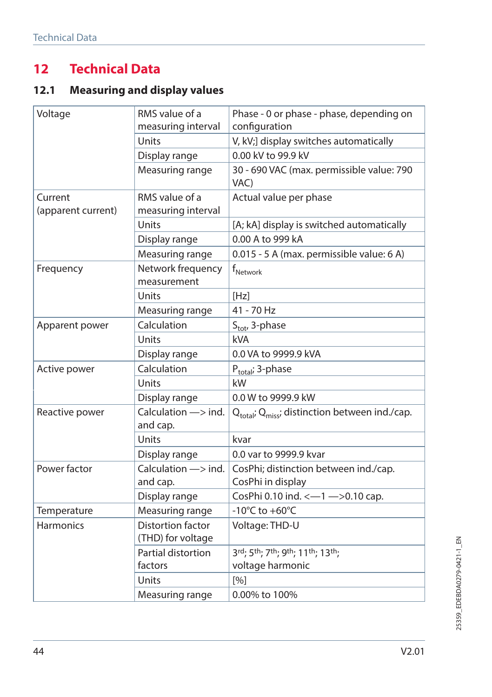# **12 Technical Data**

# **12.1 Measuring and display values**

| Voltage                       | RMS value of a<br>measuring interval           | Phase - 0 or phase - phase, depending on<br>configuration              |
|-------------------------------|------------------------------------------------|------------------------------------------------------------------------|
|                               | Units                                          | V, kV;] display switches automatically                                 |
|                               | Display range                                  | 0.00 kV to 99.9 kV                                                     |
|                               | Measuring range                                | 30 - 690 VAC (max. permissible value: 790<br>VAC)                      |
| Current<br>(apparent current) | RMS value of a<br>measuring interval           | Actual value per phase                                                 |
|                               | Units                                          | [A; kA] display is switched automatically                              |
|                               | Display range                                  | 0.00 A to 999 kA                                                       |
|                               | Measuring range                                | 0.015 - 5 A (max. permissible value: 6 A)                              |
| Frequency                     | Network frequency<br>measurement               | $f_{\text{Network}}$                                                   |
|                               | Units                                          | [Hz]                                                                   |
|                               | Measuring range                                | 41 - 70 Hz                                                             |
| Apparent power                | Calculation                                    | S <sub>tot</sub> , 3-phase                                             |
|                               | Units                                          | kVA                                                                    |
|                               | Display range                                  | 0.0 VA to 9999.9 kVA                                                   |
| Active power                  | Calculation                                    | P <sub>total</sub> ; 3-phase                                           |
|                               | Units                                          | kW                                                                     |
|                               | Display range                                  | 0.0 W to 9999.9 kW                                                     |
| Reactive power                | Calculation $\Longrightarrow$ ind.<br>and cap. | Q <sub>total</sub> ; Q <sub>miss</sub> ; distinction between ind./cap. |
|                               | Units                                          | kvar                                                                   |
|                               | Display range                                  | 0.0 var to 9999.9 kvar                                                 |
| Power factor                  | Calculation $\Longrightarrow$ ind.<br>and cap. | CosPhi; distinction between ind./cap.<br>CosPhi in display             |
|                               | Display range                                  | CosPhi 0.10 ind. <- 1 -> 0.10 cap.                                     |
| Temperature                   | Measuring range                                | -10 $^{\circ}$ C to +60 $^{\circ}$ C                                   |
| <b>Harmonics</b>              | Distortion factor<br>(THD) for voltage         | Voltage: THD-U                                                         |
|                               | Partial distortion                             | 3rd; 5th; 7th; 9th; 11th; 13th;                                        |
|                               | factors                                        | voltage harmonic                                                       |
|                               | Units                                          | [%]                                                                    |
|                               | Measuring range                                | 0.00% to 100%                                                          |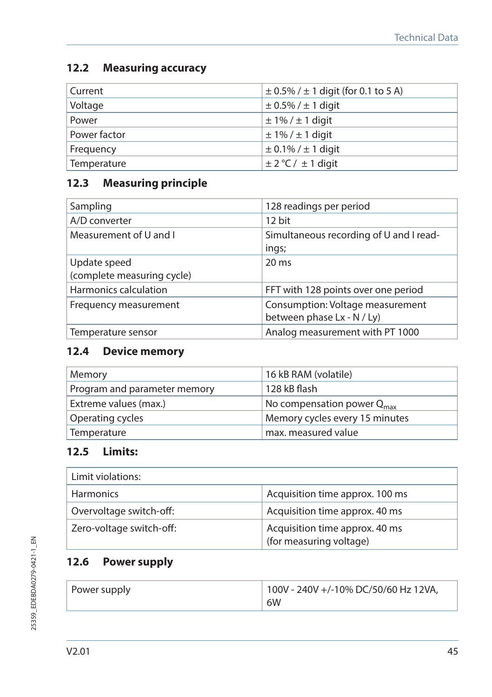### **12.2 Measuring accuracy**

| Current      | $\pm$ 0.5% / $\pm$ 1 digit (for 0.1 to 5 A) |
|--------------|---------------------------------------------|
| Voltage      | $\pm$ 0.5% / $\pm$ 1 digit                  |
| Power        | $\pm$ 1% / $\pm$ 1 digit                    |
| Power factor | $\pm$ 1% / $\pm$ 1 digit                    |
| Frequency    | $\pm$ 0.1% / $\pm$ 1 digit                  |
| Temperature  | $\pm$ 2 °C / $\pm$ 1 digit                  |

## **12.3 Measuring principle**

| Sampling                                   | 128 readings per period                                        |
|--------------------------------------------|----------------------------------------------------------------|
| A/D converter                              | 12 bit                                                         |
| Measurement of U and I                     | Simultaneous recording of U and I read-<br>ings;               |
| Update speed<br>(complete measuring cycle) | $20 \text{ ms}$                                                |
| Harmonics calculation                      | FFT with 128 points over one period                            |
| Frequency measurement                      | Consumption: Voltage measurement<br>between phase Lx - N / Ly) |
| Temperature sensor                         | Analog measurement with PT 1000                                |

## **12.4 Device memory**

| Memory                       | 16 kB RAM (volatile)                   |
|------------------------------|----------------------------------------|
| Program and parameter memory | 128 kB flash                           |
| Extreme values (max.)        | No compensation power Q <sub>max</sub> |
| Operating cycles             | Memory cycles every 15 minutes         |
| Temperature                  | max. measured value                    |

## **12.5 Limits:**

| Limit violations:        |                                                           |
|--------------------------|-----------------------------------------------------------|
| <b>Harmonics</b>         | Acquisition time approx. 100 ms                           |
| Overvoltage switch-off:  | Acquisition time approx. 40 ms                            |
| Zero-voltage switch-off: | Acquisition time approx. 40 ms<br>(for measuring voltage) |

## **12.6 Power supply**

| Power supply | 100V - 240V +/-10% DC/50/60 Hz 12VA, |
|--------------|--------------------------------------|
|              | 6W                                   |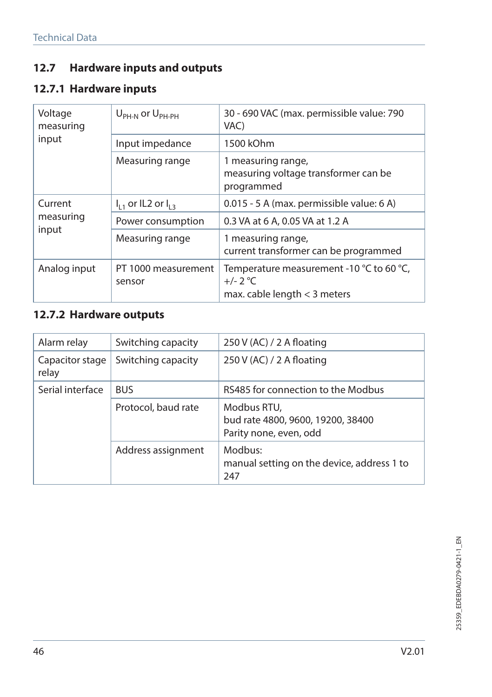## **12.7 Hardware inputs and outputs**

# **12.7.1 Hardware inputs**

| Voltage<br>measuring          | $U_{\rm PH-N}$ or $U_{\rm PH-PH}$ | 30 - 690 VAC (max. permissible value: 790<br>VAC)                                        |
|-------------------------------|-----------------------------------|------------------------------------------------------------------------------------------|
| input                         | Input impedance                   | 1500 kOhm                                                                                |
|                               | Measuring range                   | 1 measuring range,<br>measuring voltage transformer can be<br>programmed                 |
| Current<br>measuring<br>input | $I_{11}$ or IL2 or $I_{12}$       | 0.015 - 5 A (max. permissible value: 6 A)                                                |
|                               | Power consumption                 | 0.3 VA at 6 A, 0.05 VA at 1.2 A                                                          |
|                               | Measuring range                   | 1 measuring range,<br>current transformer can be programmed                              |
| Analog input                  | PT 1000 measurement<br>sensor     | Temperature measurement -10 °C to 60 °C,<br>$+/- 2 °C$<br>max. cable length $<$ 3 meters |

## **12.7.2 Hardware outputs**

| Alarm relay              | Switching capacity  | 250 V (AC) / 2 A floating                                                  |
|--------------------------|---------------------|----------------------------------------------------------------------------|
| Capacitor stage<br>relay | Switching capacity  | 250 V (AC) / 2 A floating                                                  |
| Serial interface         | <b>BUS</b>          | RS485 for connection to the Modbus                                         |
|                          | Protocol, baud rate | Modbus RTU,<br>bud rate 4800, 9600, 19200, 38400<br>Parity none, even, odd |
|                          | Address assignment  | Modbus:<br>manual setting on the device, address 1 to<br>247               |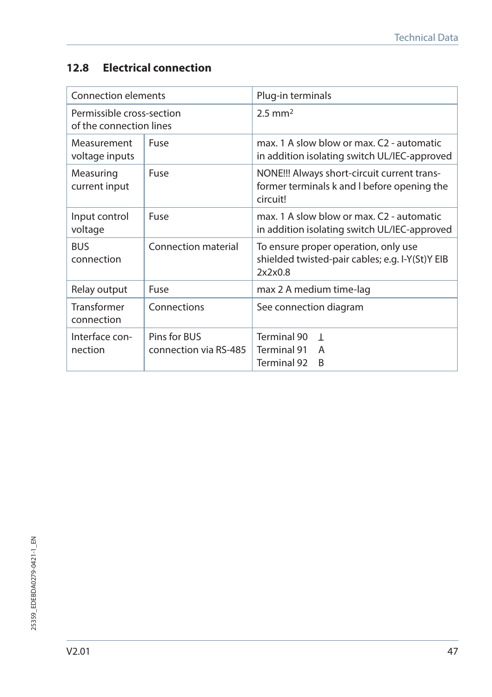## **12.8 Electrical connection**

| Connection elements                                  |                                       | Plug-in terminals                                                                                      |
|------------------------------------------------------|---------------------------------------|--------------------------------------------------------------------------------------------------------|
| Permissible cross-section<br>of the connection lines |                                       | $2.5$ mm <sup>2</sup>                                                                                  |
| Measurement<br>voltage inputs                        | Fuse                                  | max. 1 A slow blow or max. C2 - automatic<br>in addition isolating switch UL/IEC-approved              |
| Measuring<br>current input                           | Fuse                                  | NONE!!! Always short-circuit current trans-<br>former terminals k and I before opening the<br>circuit! |
| Input control<br>voltage                             | Fuse                                  | max. 1 A slow blow or max. C2 - automatic<br>in addition isolating switch UL/IEC-approved              |
| <b>BUS</b><br>connection                             | Connection material                   | To ensure proper operation, only use<br>shielded twisted-pair cables; e.g. I-Y(St)Y EIB<br>2x2x0.8     |
| Relay output                                         | Fuse                                  | max 2 A medium time-lag                                                                                |
| Transformer<br>connection                            | Connections                           | See connection diagram                                                                                 |
| Interface con-<br>nection                            | Pins for BUS<br>connection via RS-485 | Terminal 90<br>$\overline{1}$<br>Terminal 91<br>A<br>Terminal 92<br>B                                  |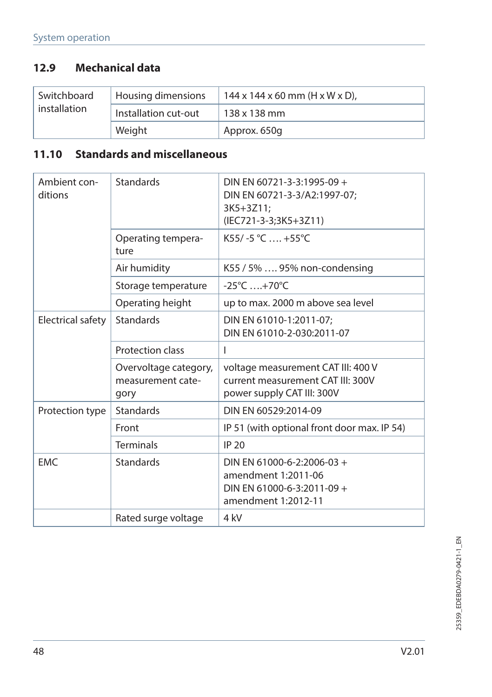# **12.9 Mechanical data**

| Switchboard  | Housing dimensions   | $144 \times 144 \times 60$ mm (H x W x D), |
|--------------|----------------------|--------------------------------------------|
| installation | Installation cut-out | 138 x 138 mm                               |
|              | Weight               | Approx. 650q                               |

# **11.10 Standards and miscellaneous**

| Ambient con-<br>ditions | <b>Standards</b>                                   | DIN EN 60721-3-3:1995-09 +<br>DIN EN 60721-3-3/A2:1997-07;<br>3K5+3Z11:<br>(IEC721-3-3;3K5+3Z11)       |
|-------------------------|----------------------------------------------------|--------------------------------------------------------------------------------------------------------|
|                         | Operating tempera-<br>ture                         | $K55/-5 °C$ , +55°C                                                                                    |
|                         | Air humidity                                       | K55 / 5%  95% non-condensing                                                                           |
|                         | Storage temperature                                | $-25^{\circ}$ C  +70 $^{\circ}$ C                                                                      |
|                         | Operating height                                   | up to max. 2000 m above sea level                                                                      |
| Electrical safety       | <b>Standards</b>                                   | DIN EN 61010-1:2011-07;<br>DIN EN 61010-2-030:2011-07                                                  |
|                         | Protection class                                   | ı                                                                                                      |
|                         | Overvoltage category,<br>measurement cate-<br>gory | voltage measurement CAT III: 400 V<br>current measurement CAT III: 300V<br>power supply CAT III: 300V  |
| Protection type         | <b>Standards</b>                                   | DIN EN 60529:2014-09                                                                                   |
|                         | Front                                              | IP 51 (with optional front door max. IP 54)                                                            |
|                         | <b>Terminals</b>                                   | <b>IP 20</b>                                                                                           |
| <b>EMC</b>              | <b>Standards</b>                                   | DIN EN 61000-6-2:2006-03 +<br>amendment 1:2011-06<br>DIN EN 61000-6-3:2011-09 +<br>amendment 1:2012-11 |
|                         | Rated surge voltage                                | 4 kV                                                                                                   |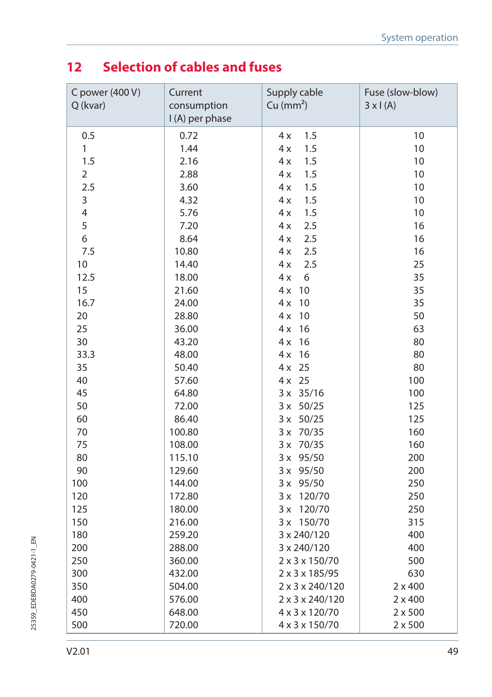# **12 Selection of cables and fuses**

| C power (400 V)<br>Q (kvar) | Current<br>consumption<br>I (A) per phase | Supply cable<br>Cu $(mm^2)$ | Fuse (slow-blow)<br>$3 \times 1(A)$ |
|-----------------------------|-------------------------------------------|-----------------------------|-------------------------------------|
| 0.5                         | 0.72                                      | 1.5<br>4x                   | 10                                  |
| $\mathbf{1}$                | 1.44                                      | 1.5<br>4x                   | 10                                  |
| 1.5                         | 2.16                                      | 1.5<br>4x                   | 10                                  |
| $\overline{2}$              | 2.88                                      | 1.5<br>4x                   | $10$                                |
| 2.5                         | 3.60                                      | 1.5<br>4x                   | 10                                  |
| 3                           | 4.32                                      | 1.5<br>4x                   | $10$                                |
| 4                           | 5.76                                      | 1.5<br>4x                   | 10                                  |
| 5                           | 7.20                                      | 2.5<br>4x                   | 16                                  |
| 6                           | 8.64                                      | 2.5<br>4x                   | 16                                  |
| 7.5                         | 10.80                                     | 2.5<br>4x                   | 16                                  |
| 10                          | 14.40                                     | 2.5<br>4x                   | 25                                  |
| 12.5                        | 18.00                                     | 4x<br>6                     | 35                                  |
| 15                          | 21.60                                     | 4x<br>10                    | 35                                  |
| 16.7                        | 24.00                                     | 10<br>4x                    | 35                                  |
| 20                          | 28.80                                     | 4x<br>10                    | 50                                  |
| 25                          | 36.00                                     | 4x<br>16                    | 63                                  |
| 30                          | 43.20                                     | 4x<br>16                    | 80                                  |
| 33.3                        | 48.00                                     | 4x<br>16                    | 80                                  |
| 35                          | 50.40                                     | 25<br>4x                    | 80                                  |
| 40                          | 57.60                                     | $4x$ 25                     | 100                                 |
| 45                          | 64.80                                     | 3 x 35/16                   | 100                                 |
| 50                          | 72.00                                     | $3 \times 50/25$            | 125                                 |
| 60                          | 86.40                                     | $3 \times 50/25$            | 125                                 |
| 70                          | 100.80                                    | 3 x 70/35                   | 160                                 |
| 75                          | 108.00                                    | 3 x 70/35                   | 160                                 |
| 80                          | 115.10                                    | 3 x 95/50                   | 200                                 |
| 90                          | 129.60                                    | 3 x 95/50                   | 200                                 |
| 100                         | 144.00                                    | 3 x 95/50                   | 250                                 |
| 120                         | 172.80                                    | 120/70<br>3x                | 250                                 |
| 125                         | 180.00                                    | 3 x<br>120/70               | 250                                 |
| 150                         | 216.00                                    | 3 x 150/70                  | 315                                 |
| 180                         | 259.20                                    | 3 x 240/120                 | 400                                 |
| 200                         | 288.00                                    | 3 x 240/120                 | 400                                 |
| 250                         | 360.00                                    | 2 x 3 x 150/70              | 500                                 |
| 300                         | 432.00                                    | 2 x 3 x 185/95              | 630                                 |
| 350                         | 504.00                                    | 2 x 3 x 240/120             | $2 \times 400$                      |
| 400                         | 576.00                                    | 2 x 3 x 240/120             | $2 \times 400$                      |
| 450                         | 648.00                                    | 4 x 3 x 120/70              | $2 \times 500$                      |
| 500                         | 720.00                                    | 4 x 3 x 150/70              | $2 \times 500$                      |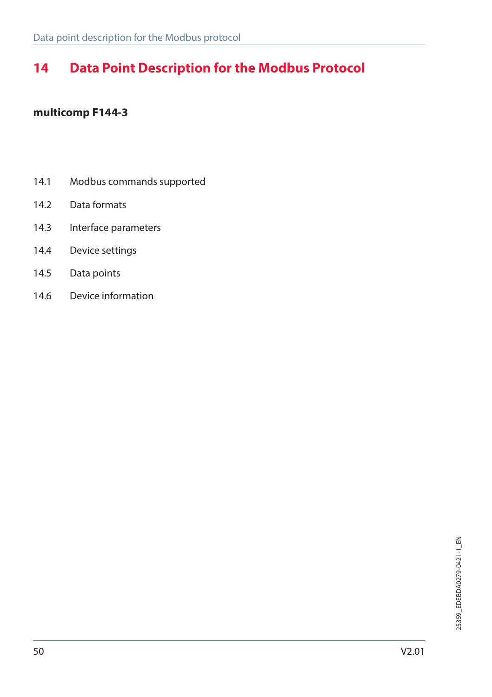# **14 Data Point Description for the Modbus Protocol**

#### **multicomp F144-3**

- 14.1 Modbus commands supported
- 14.2 Data formats
- 14.3 Interface parameters
- 14.4 Device settings
- 14.5 Data points
- 14.6 Device information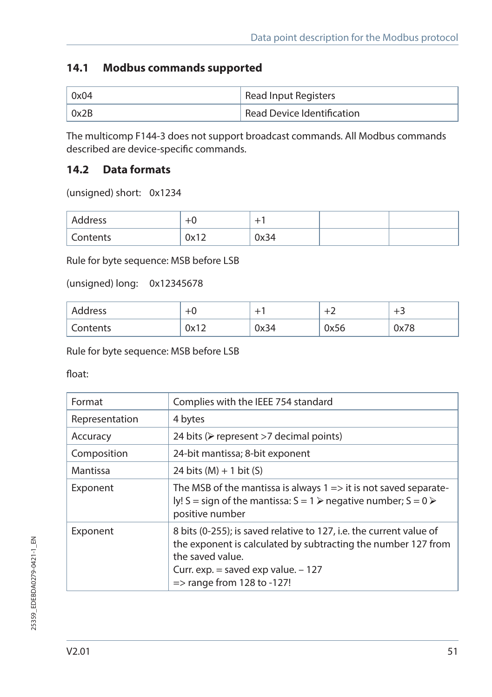### **14.1 Modbus commands supported**

| 0x04 | Read Input Registers                    |
|------|-----------------------------------------|
| 0x2B | <sup>1</sup> Read Device Identification |

The multicomp F144-3 does not support broadcast commands. All Modbus commands described are device-specific commands.

### **14.2 Data formats**

(unsigned) short: 0x1234

| Address  |                             | ÷    |  |
|----------|-----------------------------|------|--|
| Contents | 0 <sub>v</sub> 12<br>UA I Z | 0x34 |  |

Rule for byte sequence: MSB before LSB

(unsigned) long: 0x12345678

| Address  | $+U$            | -    | -    | -    |
|----------|-----------------|------|------|------|
| Contents | ∩∨1 ว<br>UA I Z | 0x34 | 0x56 | 0x78 |

Rule for byte sequence: MSB before LSB

float:

| Format         | Complies with the IEEE 754 standard                                                                                                                                                                                                         |
|----------------|---------------------------------------------------------------------------------------------------------------------------------------------------------------------------------------------------------------------------------------------|
| Representation | 4 bytes                                                                                                                                                                                                                                     |
| Accuracy       | 24 bits ( $\triangleright$ represent >7 decimal points)                                                                                                                                                                                     |
| Composition    | 24-bit mantissa; 8-bit exponent                                                                                                                                                                                                             |
| Mantissa       | 24 bits $(M) + 1$ bit $(S)$                                                                                                                                                                                                                 |
| Exponent       | The MSB of the mantissa is always $1 \Rightarrow$ it is not saved separate-<br>ly! S = sign of the mantissa: $S = 1$ > negative number; $S = 0$ ><br>positive number                                                                        |
| Exponent       | 8 bits (0-255); is saved relative to 127, i.e. the current value of<br>the exponent is calculated by subtracting the number 127 from<br>the saved value.<br>Curr. exp. $=$ saved exp value. $-127$<br>$\Rightarrow$ range from 128 to -127! |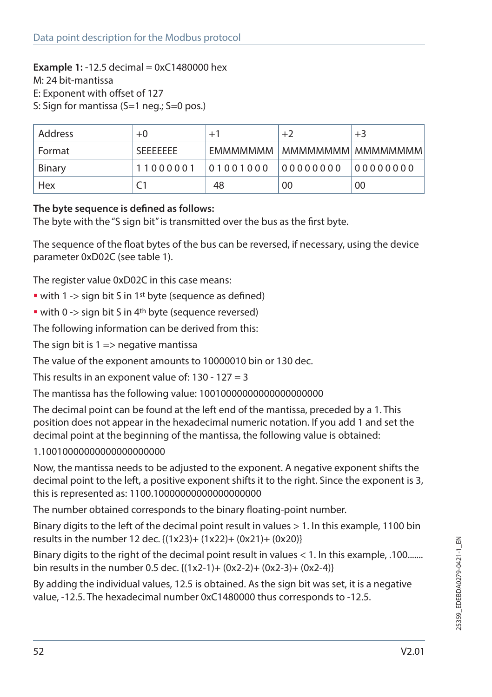#### **Example 1:** -12.5 decimal = 0xC1480000 hex

M: 24 bit-mantissa

E: Exponent with offset of 127

S: Sign for mantissa (S=1 neg.; S=0 pos.)

| Address | $+0$             | $+1$     | $+2$                            | $+3$      |
|---------|------------------|----------|---------------------------------|-----------|
| Format  | <b>SFFFFFFFF</b> |          | FMMMMMMM   MMMMMMMMM   MMMMMMMM |           |
| Binary  | 11000001         | 01001000 | 00000000                        | 100000000 |
| Hex     |                  | 48       | 00                              | 00        |

#### **The byte sequence is defined as follows:**

The byte with the "S sign bit" is transmitted over the bus as the first byte.

The sequence of the float bytes of the bus can be reversed, if necessary, using the device parameter 0xD02C (see table 1).

The register value 0xD02C in this case means:

- with 1 -> sign bit S in 1<sup>st</sup> byte (sequence as defined)
- with 0 -> sign bit S in 4<sup>th</sup> byte (sequence reversed)

The following information can be derived from this:

The sign bit is  $1 \Rightarrow$  negative mantissa

The value of the exponent amounts to 10000010 bin or 130 dec.

This results in an exponent value of:  $130 - 127 = 3$ 

The mantissa has the following value: 10010000000000000000000

The decimal point can be found at the left end of the mantissa, preceded by a 1. This position does not appear in the hexadecimal numeric notation. If you add 1 and set the decimal point at the beginning of the mantissa, the following value is obtained:

1.10010000000000000000000

Now, the mantissa needs to be adjusted to the exponent. A negative exponent shifts the decimal point to the left, a positive exponent shifts it to the right. Since the exponent is 3, this is represented as: 1100.10000000000000000000

The number obtained corresponds to the binary floating-point number.

Binary digits to the left of the decimal point result in values > 1. In this example, 1100 bin results in the number 12 dec. {(1x23)+ (1x22)+ (0x21)+ (0x20)}

Binary digits to the right of the decimal point result in values < 1. In this example, .100....... bin results in the number 0.5 dec. {(1x2-1)+ (0x2-2)+ (0x2-3)+ (0x2-4)}

By adding the individual values, 12.5 is obtained. As the sign bit was set, it is a negative value, -12.5. The hexadecimal number 0xC1480000 thus corresponds to -12.5.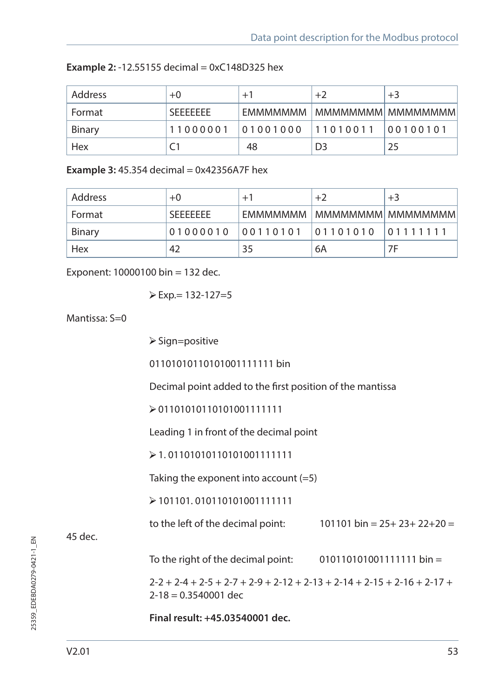| Address | $+0$             | $+1$              | $+2$                            | $+3$     |
|---------|------------------|-------------------|---------------------------------|----------|
| Format  | <b>SFFFFFFFF</b> |                   | EMMMMMMM   MMMMMMMMM   MMMMMMMM |          |
| Binary  | 11000001         | 01001000 11010011 |                                 | 00100101 |
| Hex     |                  | 48                | D <sub>3</sub>                  | 25       |

**Example 3:** 45.354 decimal = 0x42356A7F hex

| Address | $+0$             | $+1$              | $+2$ | $+3$               |
|---------|------------------|-------------------|------|--------------------|
| Format  | <b>SFFFFFFFF</b> | <b>FMMMMMMM</b>   |      | MMMMMMMM  MMMMMMMM |
| Binary  | 01000010         | 00110101 01101010 |      | [01111111]         |
| Hex     | 42               | 35                | 6A   | 7F                 |

Exponent: 10000100 bin = 132 dec.

$$
\triangleright \text{Exp} = 132 - 127 = 5
$$

Mantissa:  $S=0$ 

 $\triangleright$  Sign=positive

011010101101010011111111 bin

Decimal point added to the first position of the mantissa

 $\geq 011010101110101001111111$ 

Leading 1 in front of the decimal point

 $\geq 1.01101010110101001111111$ 

Taking the exponent into account  $(=5)$ 

101101. 010110101001111111

to the left of the decimal point:  $101101 \text{ bin} = 25 + 23 + 22 + 20 =$ 

45 dec.

To the right of the decimal point:  $010110101001111111$  bin =

 $2-2 + 2-4 + 2-5 + 2-7 + 2-9 + 2-12 + 2-13 + 2-14 + 2-15 + 2-16 + 2-17 +$  $2 - 18 = 0.3540001$  dec

**Final result: +45.03540001 dec.**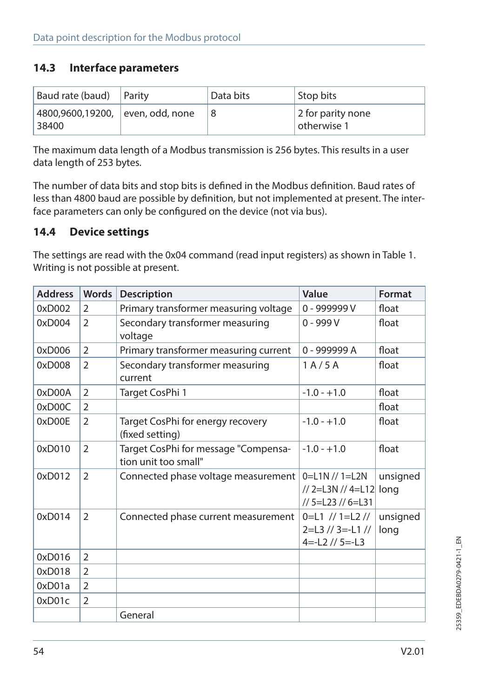#### **14.3 Interface parameters**

| Baud rate (baud)                          | Parity | Data bits | Stop bits                        |
|-------------------------------------------|--------|-----------|----------------------------------|
| 4800,9600,19200, even, odd, none<br>38400 |        |           | 2 for parity none<br>otherwise 1 |

The maximum data length of a Modbus transmission is 256 bytes. This results in a user data length of 253 bytes.

The number of data bits and stop bits is defined in the Modbus definition. Baud rates of less than 4800 baud are possible by definition, but not implemented at present. The interface parameters can only be configured on the device (not via bus).

#### **14.4 Device settings**

The settings are read with the 0x04 command (read input registers) as shown in Table 1. Writing is not possible at present.

| <b>Address</b> | <b>Words</b>   | <b>Description</b>                                           | Value                                                               | Format           |
|----------------|----------------|--------------------------------------------------------------|---------------------------------------------------------------------|------------------|
| 0xD002         | 2              | Primary transformer measuring voltage                        | 0 - 999999 V                                                        | float            |
| 0xD004         | $\overline{2}$ | Secondary transformer measuring<br>voltage                   | $0 - 999V$                                                          | float            |
| 0xD006         | $\overline{2}$ | Primary transformer measuring current                        | 0 - 999999 A                                                        | float            |
| 0xD008         | $\overline{2}$ | Secondary transformer measuring<br>current                   | 1 A / 5 A                                                           | float            |
| 0xD00A         | $\mathcal{P}$  | Target CosPhi 1                                              | $-1.0 - +1.0$                                                       | float            |
| 0xD00C         | $\overline{2}$ |                                                              |                                                                     | float            |
| 0xD00E         | $\overline{2}$ | Target CosPhi for energy recovery<br>(fixed setting)         | $-1.0 - +1.0$                                                       | float            |
| 0xD010         | $\overline{2}$ | Target CosPhi for message "Compensa-<br>tion unit too small" | $-1.0 - +1.0$                                                       | float            |
| 0xD012         | $\overline{2}$ | Connected phase voltage measurement                          | $0=$ L1N // 1=L2N<br>// 2=L3N // 4=L12 long<br>// 5=L23 // 6=L31    | unsigned         |
| 0xD014         | $\overline{2}$ | Connected phase current measurement                          | $0=$ L1 // 1=L2 //<br>$2=$ L3 // 3=-L1 //<br>$4 = -12$ // $5 = -13$ | unsigned<br>long |
| 0xD016         | $\overline{2}$ |                                                              |                                                                     |                  |
| 0xD018         | $\overline{2}$ |                                                              |                                                                     |                  |
| 0xD01a         | $\overline{2}$ |                                                              |                                                                     |                  |
| 0xD01c         | $\overline{2}$ |                                                              |                                                                     |                  |
|                |                | General                                                      |                                                                     |                  |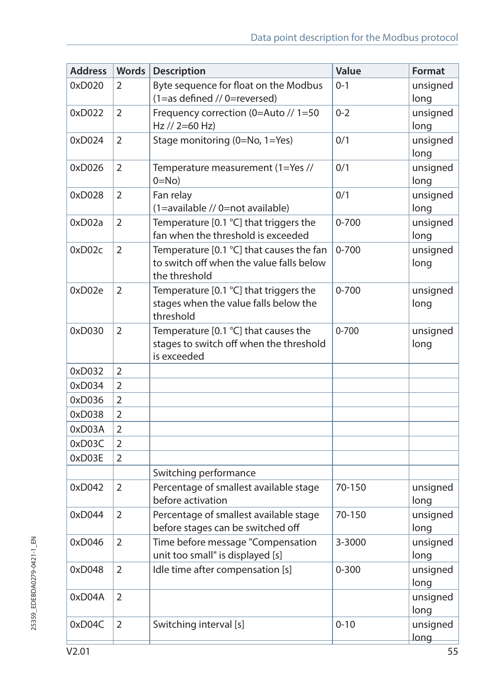| <b>Address</b> | <b>Words</b>   | <b>Description</b>                                                                                    | Value     | Format           |
|----------------|----------------|-------------------------------------------------------------------------------------------------------|-----------|------------------|
| 0xD020         | 2              | Byte sequence for float on the Modbus<br>(1=as defined // 0=reversed)                                 | $0 - 1$   | unsigned<br>long |
| 0xD022         | $\overline{2}$ | Frequency correction (0=Auto // 1=50<br>$Hz$ // 2=60 Hz)                                              | $0 - 2$   | unsigned<br>long |
| 0xD024         | 2              | Stage monitoring (0=No, 1=Yes)                                                                        | 0/1       | unsigned<br>long |
| 0xD026         | 2              | Temperature measurement (1=Yes //<br>$0 = No$                                                         | 0/1       | unsigned<br>long |
| 0xD028         | 2              | Fan relay<br>(1=available // 0=not available)                                                         | 0/1       | unsigned<br>long |
| 0xD02a         | $\overline{2}$ | Temperature [0.1 °C] that triggers the<br>fan when the threshold is exceeded                          | $0 - 700$ | unsigned<br>long |
| 0xD02c         | $\overline{2}$ | Temperature [0.1 °C] that causes the fan<br>to switch off when the value falls below<br>the threshold | $0 - 700$ | unsigned<br>long |
| 0xD02e         | 2              | Temperature [0.1 °C] that triggers the<br>stages when the value falls below the<br>threshold          | $0 - 700$ | unsigned<br>long |
| 0xD030         | 2              | Temperature [0.1 °C] that causes the<br>stages to switch off when the threshold<br>is exceeded        | $0 - 700$ | unsigned<br>long |
| 0xD032         | 2              |                                                                                                       |           |                  |
| 0xD034         | $\overline{2}$ |                                                                                                       |           |                  |
| 0xD036         | $\overline{2}$ |                                                                                                       |           |                  |
| 0xD038         | $\overline{2}$ |                                                                                                       |           |                  |
| 0xD03A         | $\overline{2}$ |                                                                                                       |           |                  |
| 0xD03C         | $\overline{2}$ |                                                                                                       |           |                  |
| 0xD03E         | 2              |                                                                                                       |           |                  |
|                |                | Switching performance                                                                                 |           |                  |
| 0xD042         | 2              | Percentage of smallest available stage<br>before activation                                           | 70-150    | unsigned<br>long |
| 0xD044         | 2              | Percentage of smallest available stage<br>before stages can be switched off                           | 70-150    | unsigned<br>long |
| 0xD046         | 2              | Time before message "Compensation<br>unit too small" is displayed [s]                                 | 3-3000    | unsigned<br>long |
| 0xD048         | $\overline{2}$ | Idle time after compensation [s]                                                                      | $0 - 300$ | unsigned<br>long |
| 0xD04A         | $\overline{2}$ |                                                                                                       |           | unsigned<br>long |
| 0xD04C         | 2              | Switching interval [s]                                                                                | $0 - 10$  | unsigned<br>long |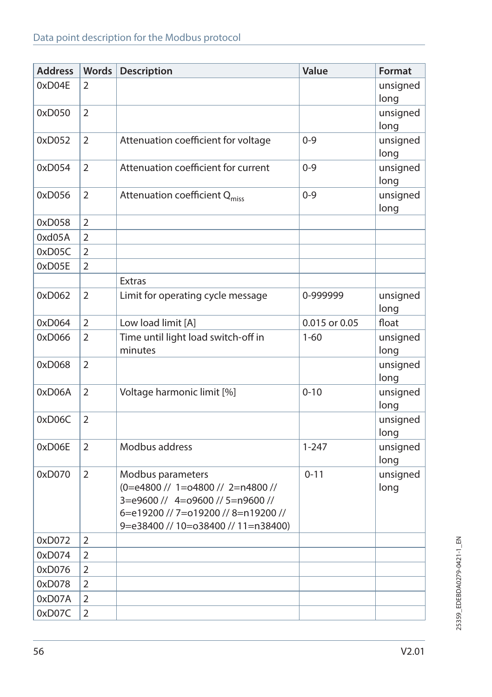| <b>Address</b> | <b>Words</b>   | <b>Description</b>                                                                                                                                                       | Value         | Format           |
|----------------|----------------|--------------------------------------------------------------------------------------------------------------------------------------------------------------------------|---------------|------------------|
| 0xD04E         | 2              |                                                                                                                                                                          |               | unsigned<br>long |
| 0xD050         | $\overline{2}$ |                                                                                                                                                                          |               | unsigned<br>long |
| 0xD052         | 2              | Attenuation coefficient for voltage                                                                                                                                      | $0 - 9$       | unsigned<br>long |
| 0xD054         | $\overline{2}$ | Attenuation coefficient for current                                                                                                                                      | $0 - 9$       | unsigned<br>long |
| 0xD056         | $\overline{2}$ | Attenuation coefficient Q <sub>miss</sub>                                                                                                                                | $0 - 9$       | unsigned<br>long |
| 0xD058         | 2              |                                                                                                                                                                          |               |                  |
| 0xd05A         | 2              |                                                                                                                                                                          |               |                  |
| 0xD05C         | 2              |                                                                                                                                                                          |               |                  |
| 0xD05E         | $\overline{2}$ |                                                                                                                                                                          |               |                  |
|                |                | <b>Extras</b>                                                                                                                                                            |               |                  |
| 0xD062         | $\overline{2}$ | Limit for operating cycle message                                                                                                                                        | 0-999999      | unsigned<br>long |
| 0xD064         | $\overline{2}$ | Low load limit [A]                                                                                                                                                       | 0.015 or 0.05 | float            |
| 0xD066         | $\overline{2}$ | Time until light load switch-off in<br>minutes                                                                                                                           | $1 - 60$      | unsigned<br>long |
| 0xD068         | 2              |                                                                                                                                                                          |               | unsigned<br>long |
| 0xD06A         | $\overline{2}$ | Voltage harmonic limit [%]                                                                                                                                               | $0 - 10$      | unsigned<br>long |
| 0xD06C         | $\overline{2}$ |                                                                                                                                                                          |               | unsigned<br>long |
| 0xD06E         | $\overline{2}$ | Modbus address                                                                                                                                                           | $1 - 247$     | unsigned<br>long |
| 0xD070         | 2              | Modbus parameters<br>(0=e4800 // 1=o4800 // 2=n4800 //<br>3=e9600 // 4=o9600 // 5=n9600 //<br>6=e19200 // 7=o19200 // 8=n19200 //<br>9=e38400 // 10=o38400 // 11=n38400) | $0 - 11$      | unsigned<br>long |
| 0xD072         | $\overline{2}$ |                                                                                                                                                                          |               |                  |
| 0xD074         | $\overline{2}$ |                                                                                                                                                                          |               |                  |
| 0xD076         | $\overline{2}$ |                                                                                                                                                                          |               |                  |
| 0xD078         | 2              |                                                                                                                                                                          |               |                  |
| 0xD07A         | 2              |                                                                                                                                                                          |               |                  |
| 0xD07C         | $\overline{2}$ |                                                                                                                                                                          |               |                  |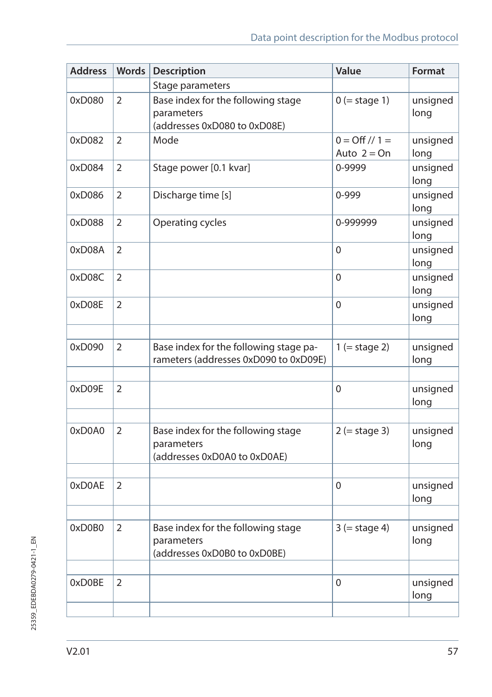| <b>Address</b> | <b>Words</b>   | Description                                                                      | Value                                  | Format           |
|----------------|----------------|----------------------------------------------------------------------------------|----------------------------------------|------------------|
|                |                | Stage parameters                                                                 |                                        |                  |
| 0xD080         | 2              | Base index for the following stage<br>parameters<br>(addresses 0xD080 to 0xD08E) | $0$ (= stage 1)                        | unsigned<br>long |
| 0xD082         | $\overline{2}$ | Mode                                                                             | $0 = \frac{Off}{1} =$<br>Auto $2 = On$ | unsigned<br>long |
| 0xD084         | 2              | Stage power [0.1 kvar]                                                           | 0-9999                                 | unsigned<br>long |
| 0xD086         | $\overline{2}$ | Discharge time [s]                                                               | 0-999                                  | unsigned<br>long |
| 0xD088         | $\overline{2}$ | Operating cycles                                                                 | 0-999999                               | unsigned<br>long |
| 0xD08A         | 2              |                                                                                  | 0                                      | unsigned<br>long |
| 0xD08C         | $\overline{2}$ |                                                                                  | $\Omega$                               | unsigned<br>long |
| 0xD08E         | $\overline{2}$ |                                                                                  | 0                                      | unsigned<br>long |
| 0xD090         | $\overline{2}$ | Base index for the following stage pa-<br>rameters (addresses 0xD090 to 0xD09E)  | $1 (= stage 2)$                        | unsigned<br>long |
| 0xD09E         | $\overline{2}$ |                                                                                  | 0                                      | unsigned<br>long |
| 0xD0A0         | 2              | Base index for the following stage<br>parameters<br>(addresses 0xD0A0 to 0xD0AE) | $2 (= stage 3)$                        | unsigned<br>long |
| 0xD0AE         | $\overline{2}$ |                                                                                  | 0                                      | unsigned<br>long |
|                |                |                                                                                  |                                        |                  |
| 0xD0B0         | $\overline{2}$ | Base index for the following stage<br>parameters<br>(addresses 0xD0B0 to 0xD0BE) | $3 (= stage 4)$                        | unsigned<br>long |
|                |                |                                                                                  |                                        |                  |
| 0xD0BE         | 2              |                                                                                  | 0                                      | unsigned<br>long |
|                |                |                                                                                  |                                        |                  |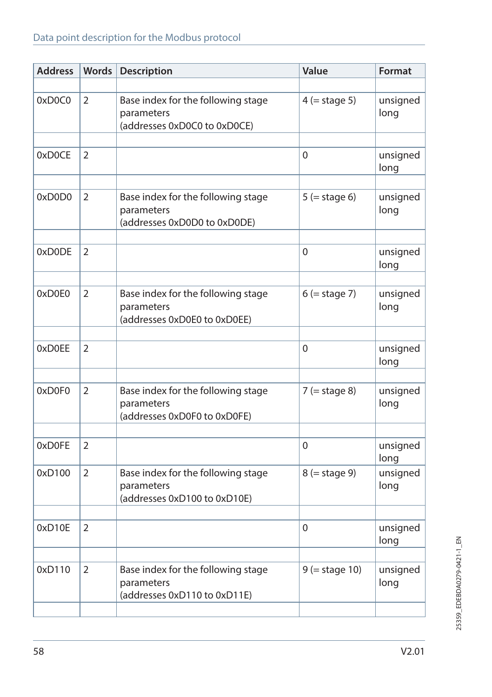### Data point description for the Modbus protocol

| <b>Address</b> | <b>Words</b>   | <b>Description</b>                                                               | Value            | Format           |
|----------------|----------------|----------------------------------------------------------------------------------|------------------|------------------|
|                |                |                                                                                  |                  |                  |
| 0xD0C0         | 2              | Base index for the following stage<br>parameters<br>(addresses 0xD0C0 to 0xD0CE) | $4$ (= stage 5)  | unsigned<br>long |
|                |                |                                                                                  |                  |                  |
| 0xD0CE         | 2              |                                                                                  | 0                | unsigned<br>long |
|                |                |                                                                                  |                  |                  |
| 0xD0D0         | 2              | Base index for the following stage<br>parameters<br>(addresses 0xD0D0 to 0xD0DE) | $5 (= stage 6)$  | unsigned<br>long |
|                |                |                                                                                  |                  |                  |
| 0xD0DE         | 2              |                                                                                  | $\Omega$         | unsigned<br>long |
|                |                |                                                                                  |                  |                  |
| 0xD0E0         | 2              | Base index for the following stage<br>parameters<br>(addresses 0xD0E0 to 0xD0EE) | $6$ (= stage 7)  | unsigned<br>long |
|                |                |                                                                                  |                  |                  |
| 0xD0EE         | 2              |                                                                                  | $\Omega$         | unsigned<br>long |
|                |                |                                                                                  |                  |                  |
| 0xD0F0         | 2              | Base index for the following stage<br>parameters<br>(addresses 0xD0F0 to 0xD0FE) | $7$ (= stage 8)  | unsigned<br>long |
|                |                |                                                                                  |                  |                  |
| 0xD0FE         | 2              |                                                                                  | 0                | unsigned<br>long |
| 0xD100         | 2              | Base index for the following stage<br>parameters<br>(addresses 0xD100 to 0xD10E) | $8$ (= stage 9)  | unsigned<br>long |
|                |                |                                                                                  |                  |                  |
| 0xD10E         | 2              |                                                                                  | 0                | unsigned<br>long |
|                |                |                                                                                  |                  |                  |
| 0xD110         | $\overline{2}$ | Base index for the following stage<br>parameters<br>(addresses 0xD110 to 0xD11E) | $9$ (= stage 10) | unsigned<br>long |
|                |                |                                                                                  |                  |                  |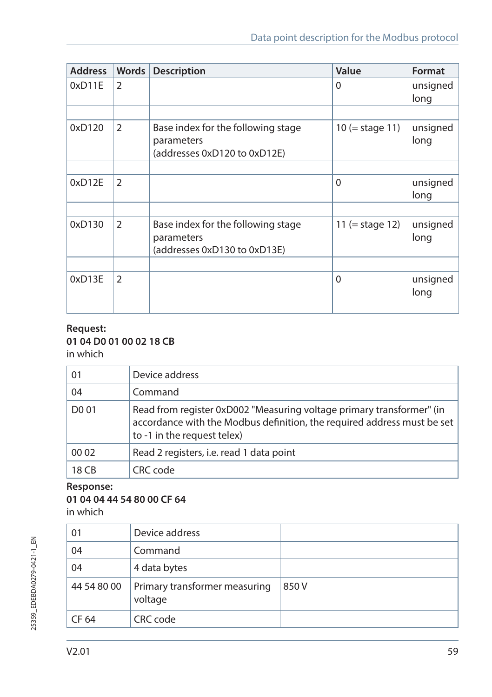| <b>Address</b> | <b>Words</b>   | <b>Description</b>                                                               | Value             | Format           |
|----------------|----------------|----------------------------------------------------------------------------------|-------------------|------------------|
| 0xD11E         | $\overline{2}$ |                                                                                  | $\Omega$          | unsigned<br>long |
|                |                |                                                                                  |                   |                  |
| 0xD120         | 2              | Base index for the following stage<br>parameters<br>(addresses 0xD120 to 0xD12E) | $10 (= stage 11)$ | unsigned<br>long |
|                |                |                                                                                  |                   |                  |
| 0xD12E         | 2              |                                                                                  | $\Omega$          | unsigned<br>long |
|                |                |                                                                                  |                   |                  |
| 0xD130         | 2              | Base index for the following stage<br>parameters<br>(addresses 0xD130 to 0xD13E) | 11 (= stage 12)   | unsigned<br>long |
|                |                |                                                                                  |                   |                  |
| 0xD13E         | $\overline{2}$ |                                                                                  | $\Omega$          | unsigned<br>long |
|                |                |                                                                                  |                   |                  |

#### **Request: 01 04 D0 01 00 02 18 CB** in which

| 01                | Device address                                                                                                                                                                  |
|-------------------|---------------------------------------------------------------------------------------------------------------------------------------------------------------------------------|
| 04                | Command                                                                                                                                                                         |
| D <sub>0</sub> 01 | Read from register 0xD002 "Measuring voltage primary transformer" (in<br>accordance with the Modbus definition, the required address must be set<br>to -1 in the request telex) |
| 00 02             | Read 2 registers, i.e. read 1 data point                                                                                                                                        |
| 18 CB             | CRC code                                                                                                                                                                        |

#### **Response:**

#### **01 04 04 44 54 80 00 CF 64**

in which

| 01          | Device address                           |      |
|-------------|------------------------------------------|------|
| 04          | Command                                  |      |
| 04          | 4 data bytes                             |      |
| 44 54 80 00 | Primary transformer measuring<br>voltage | 850V |
| CF 64       | CRC code                                 |      |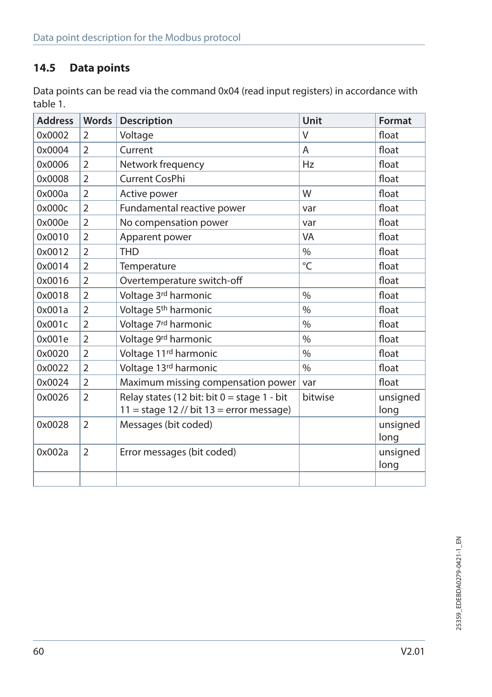## **14.5 Data points**

Data points can be read via the command 0x04 (read input registers) in accordance with table 1.

| <b>Address</b> | <b>Words</b>   | Description                                   | Unit    | Format   |
|----------------|----------------|-----------------------------------------------|---------|----------|
| 0x0002         | $\overline{2}$ | Voltage                                       | $\vee$  | float    |
| 0x0004         | $\overline{2}$ | Current                                       | A       | float    |
| 0x0006         | 2              | Network frequency                             | Hz      | float    |
| 0x0008         | $\overline{2}$ | Current CosPhi                                |         | float    |
| 0x000a         | $\overline{2}$ | Active power                                  | W       | float    |
| 0x000c         | $\overline{2}$ | Fundamental reactive power                    | var     | float    |
| 0x000e         | $\overline{2}$ | No compensation power                         | var     | float    |
| 0x0010         | $\overline{2}$ | Apparent power                                | VA      | float    |
| 0x0012         | $\overline{2}$ | <b>THD</b>                                    | $\%$    | float    |
| 0x0014         | $\overline{2}$ | Temperature                                   | °C      | float    |
| 0x0016         | $\overline{2}$ | Overtemperature switch-off                    |         | float    |
| 0x0018         | $\overline{2}$ | Voltage 3rd harmonic                          | $\%$    | float    |
| 0x001a         | $\overline{2}$ | Voltage 5 <sup>th</sup> harmonic              | $\%$    | float    |
| 0x001c         | 2              | Voltage 7 <sup>rd</sup> harmonic              | $\%$    | float    |
| 0x001e         | $\overline{2}$ | Voltage 9rd harmonic                          | $\%$    | float    |
| 0x0020         | $\overline{2}$ | Voltage 11 <sup>rd</sup> harmonic             | $\%$    | float    |
| 0x0022         | $\overline{2}$ | Voltage 13rd harmonic                         | $\%$    | float    |
| 0x0024         | $\overline{2}$ | Maximum missing compensation power            | var     | float    |
| 0x0026         | $\overline{2}$ | Relay states (12 bit: bit $0 =$ stage 1 - bit | bitwise | unsigned |
|                |                | $11 = stage 12$ // bit $13 = error message$ ) |         | long     |
| 0x0028         | $\overline{2}$ | Messages (bit coded)                          |         | unsigned |
|                |                |                                               |         | long     |
| 0x002a         | $\overline{2}$ | Error messages (bit coded)                    |         | unsigned |
|                |                |                                               |         | long     |
|                |                |                                               |         |          |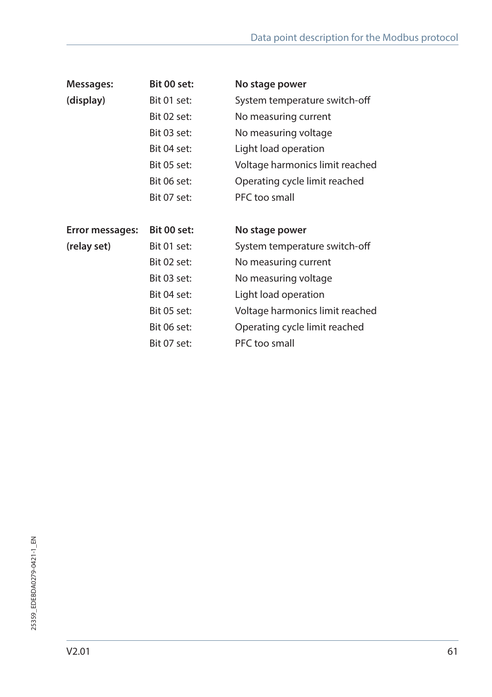| Messages:       | Bit 00 set: | No stage power                  |
|-----------------|-------------|---------------------------------|
| (display)       | Bit 01 set: | System temperature switch-off   |
|                 | Bit 02 set: | No measuring current            |
|                 | Bit 03 set: | No measuring voltage            |
|                 | Bit 04 set: | Light load operation            |
|                 | Bit 05 set: | Voltage harmonics limit reached |
|                 | Bit 06 set: | Operating cycle limit reached   |
|                 | Bit 07 set: | PFC too small                   |
|                 |             |                                 |
| Error messages: | Bit 00 set: | No stage power                  |
| (relay set)     | Bit 01 set: | System temperature switch-off   |
|                 | Bit 02 set: | No measuring current            |
|                 | Bit 03 set: | No measuring voltage            |
|                 | Bit 04 set: | Light load operation            |
|                 | Bit 05 set: | Voltage harmonics limit reached |
|                 | Bit 06 set: | Operating cycle limit reached   |
|                 | Bit 07 set: | PFC too small                   |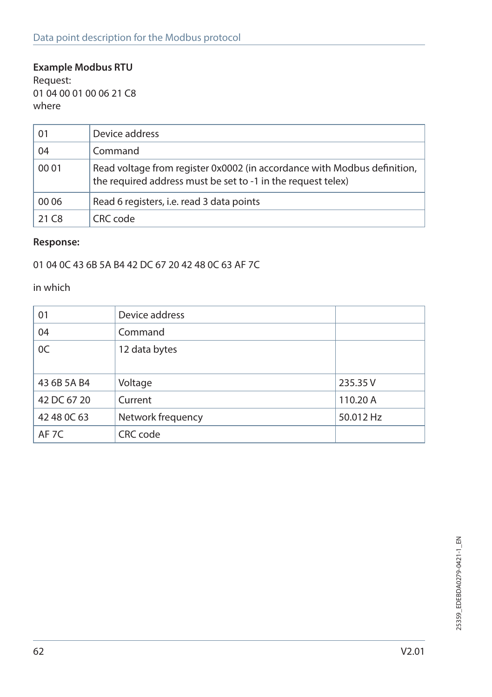### **Example Modbus RTU**

Request: 01 04 00 01 00 06 21 C8 where

| 01                | Device address                                                                                                                           |
|-------------------|------------------------------------------------------------------------------------------------------------------------------------------|
| 04                | Command                                                                                                                                  |
| 00 01             | Read voltage from register 0x0002 (in accordance with Modbus definition,<br>the required address must be set to -1 in the request telex) |
| 00 06             | Read 6 registers, i.e. read 3 data points                                                                                                |
| 21 C <sub>8</sub> | CRC code                                                                                                                                 |

#### **Response:**

01 04 0C 43 6B 5A B4 42 DC 67 20 42 48 0C 63 AF 7C

in which

| 01               | Device address    |           |
|------------------|-------------------|-----------|
| 04               | Command           |           |
| 0C               | 12 data bytes     |           |
|                  |                   |           |
| 43 6B 5A B4      | Voltage           | 235.35 V  |
| 42 DC 67 20      | Current           | 110.20 A  |
| 42 48 0C 63      | Network frequency | 50.012 Hz |
| AF <sub>7C</sub> | CRC code          |           |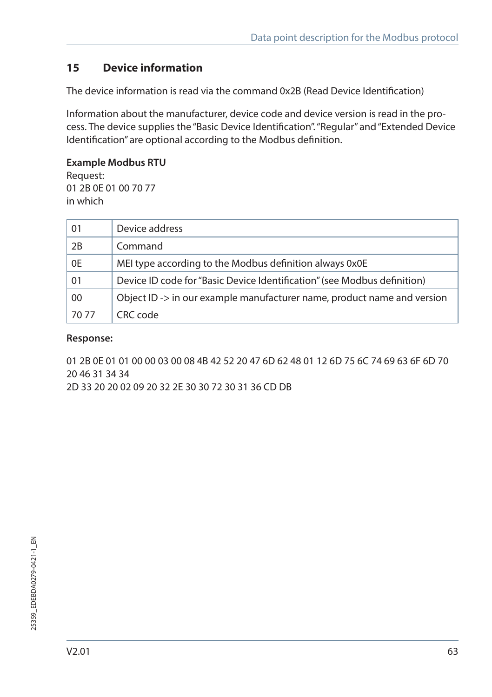## **15 Device information**

The device information is read via the command 0x2B (Read Device Identification)

Information about the manufacturer, device code and device version is read in the process. The device supplies the "Basic Device Identification". "Regular" and "Extended Device Identification" are optional according to the Modbus definition.

#### **Example Modbus RTU**

Request: 01 2B 0E 01 00 70 77 in which

| 01    | Device address                                                           |
|-------|--------------------------------------------------------------------------|
| 2B    | Command                                                                  |
| 0E    | MEI type according to the Modbus definition always 0x0E                  |
| 01    | Device ID code for "Basic Device Identification" (see Modbus definition) |
| 00    | Object ID -> in our example manufacturer name, product name and version  |
| 70 77 | CRC code                                                                 |

#### **Response:**

01 2B 0E 01 01 00 00 03 00 08 4B 42 52 20 47 6D 62 48 01 12 6D 75 6C 74 69 63 6F 6D 70 20 46 31 34 34

2D 33 20 20 02 09 20 32 2E 30 30 72 30 31 36 CD DB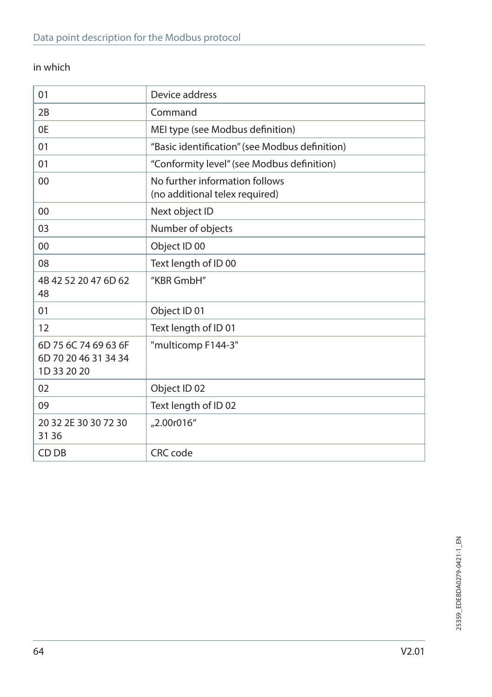## in which

| 01                                                          | Device address                                                   |
|-------------------------------------------------------------|------------------------------------------------------------------|
| 2B                                                          | Command                                                          |
| 0E                                                          | MEI type (see Modbus definition)                                 |
| 01                                                          | "Basic identification" (see Modbus definition)                   |
| 01                                                          | "Conformity level" (see Modbus definition)                       |
| 00                                                          | No further information follows<br>(no additional telex required) |
| 00                                                          | Next object ID                                                   |
| 03                                                          | Number of objects                                                |
| 00                                                          | Object ID 00                                                     |
| 08                                                          | Text length of ID 00                                             |
| 4B 42 52 20 47 6D 62<br>48                                  | "KBR GmbH"                                                       |
| 01                                                          | Object ID 01                                                     |
| 12                                                          | Text length of ID 01                                             |
| 6D 75 6C 74 69 63 6F<br>6D 70 20 46 31 34 34<br>1D 33 20 20 | "multicomp F144-3"                                               |
| 02                                                          | Object ID 02                                                     |
| 09                                                          | Text length of ID 02                                             |
| 20 32 2E 30 30 72 30<br>31 36                               | "2.00r016"                                                       |
| CD DB                                                       | CRC code                                                         |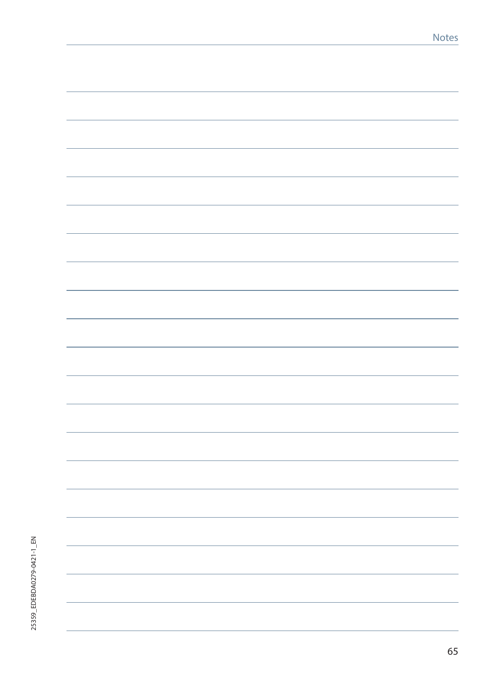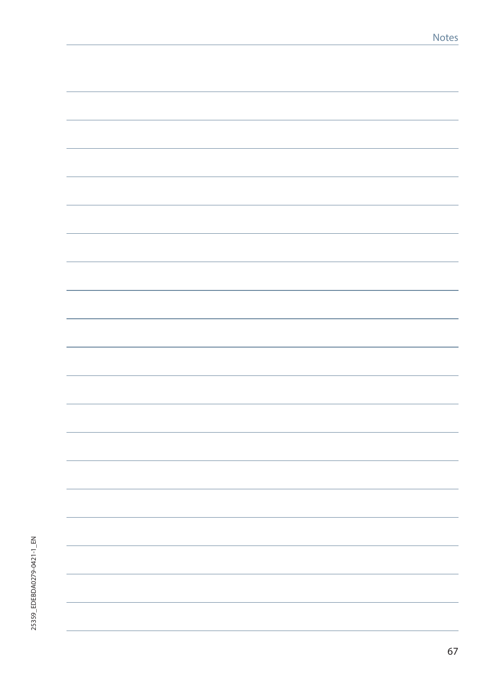